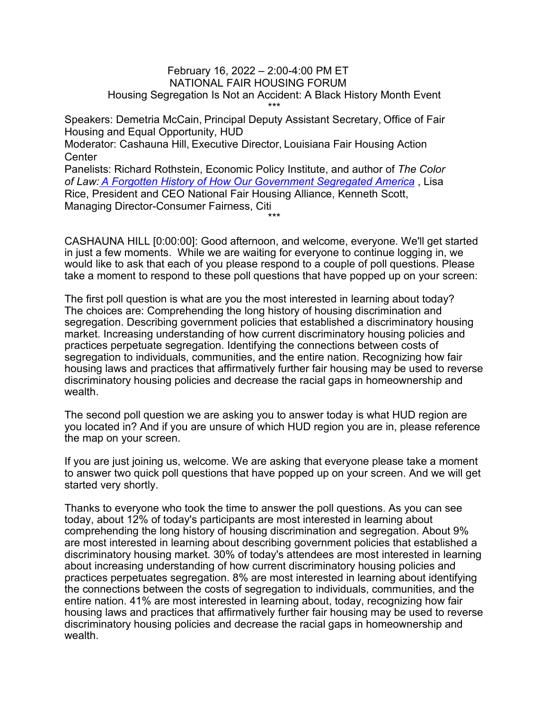## February 16, 2022 – 2:00-4:00 PM ET NATIONAL FAIR HOUSING FORUM Housing Segregation Is Not an Accident: A Black History Month Event \*\*\*

Speakers: Demetria McCain, Principal Deputy Assistant Secretary, Office of Fair Housing and Equal Opportunity, HUD

Moderator: Cashauna Hill, Executive Director, Louisiana Fair Housing Action **Center** 

Panelists: Richard Rothstein, Economic Policy Institute, and author of *The Color of Law: [A Forgotten History of How Our Government Segregated America](https://www.epi.org/publication/the-color-of-law-a-forgotten-history-of-how-our-government-segregated-america/)* , Lisa Rice, President and CEO National Fair Housing Alliance, Kenneth Scott, Managing Director-Consumer Fairness, Citi

CASHAUNA HILL [0:00:00]: Good afternoon, and welcome, everyone. We'll get started in just a few moments. While we are waiting for everyone to continue logging in, we would like to ask that each of you please respond to a couple of poll questions. Please take a moment to respond to these poll questions that have popped up on your screen:

\*\*\*

The first poll question is what are you the most interested in learning about today? The choices are: Comprehending the long history of housing discrimination and segregation. Describing government policies that established a discriminatory housing market. Increasing understanding of how current discriminatory housing policies and practices perpetuate segregation. Identifying the connections between costs of segregation to individuals, communities, and the entire nation. Recognizing how fair housing laws and practices that affirmatively further fair housing may be used to reverse discriminatory housing policies and decrease the racial gaps in homeownership and wealth

The second poll question we are asking you to answer today is what HUD region are you located in? And if you are unsure of which HUD region you are in, please reference the map on your screen.

If you are just joining us, welcome. We are asking that everyone please take a moment to answer two quick poll questions that have popped up on your screen. And we will get started very shortly.

Thanks to everyone who took the time to answer the poll questions. As you can see today, about 12% of today's participants are most interested in learning about comprehending the long history of housing discrimination and segregation. About 9% are most interested in learning about describing government policies that established a discriminatory housing market. 30% of today's attendees are most interested in learning about increasing understanding of how current discriminatory housing policies and practices perpetuates segregation. 8% are most interested in learning about identifying the connections between the costs of segregation to individuals, communities, and the entire nation. 41% are most interested in learning about, today, recognizing how fair housing laws and practices that affirmatively further fair housing may be used to reverse discriminatory housing policies and decrease the racial gaps in homeownership and wealth.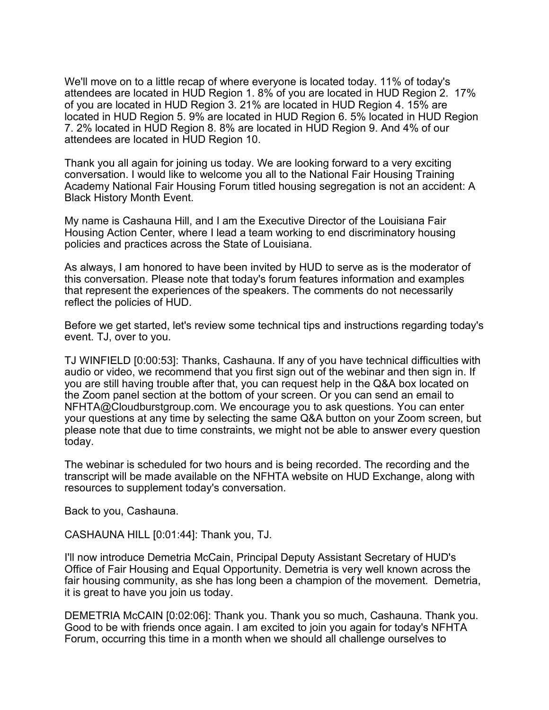We'll move on to a little recap of where everyone is located today. 11% of today's attendees are located in HUD Region 1. 8% of you are located in HUD Region 2. 17% of you are located in HUD Region 3. 21% are located in HUD Region 4. 15% are located in HUD Region 5. 9% are located in HUD Region 6. 5% located in HUD Region 7. 2% located in HUD Region 8. 8% are located in HUD Region 9. And 4% of our attendees are located in HUD Region 10.

Thank you all again for joining us today. We are looking forward to a very exciting conversation. I would like to welcome you all to the National Fair Housing Training Academy National Fair Housing Forum titled housing segregation is not an accident: A Black History Month Event.

My name is Cashauna Hill, and I am the Executive Director of the Louisiana Fair Housing Action Center, where I lead a team working to end discriminatory housing policies and practices across the State of Louisiana.

As always, I am honored to have been invited by HUD to serve as is the moderator of this conversation. Please note that today's forum features information and examples that represent the experiences of the speakers. The comments do not necessarily reflect the policies of HUD.

Before we get started, let's review some technical tips and instructions regarding today's event. TJ, over to you.

TJ WINFIELD [0:00:53]: Thanks, Cashauna. If any of you have technical difficulties with audio or video, we recommend that you first sign out of the webinar and then sign in. If you are still having trouble after that, you can request help in the Q&A box located on the Zoom panel section at the bottom of your screen. Or you can send an email to NFHTA@Cloudburstgroup.com. We encourage you to ask questions. You can enter your questions at any time by selecting the same Q&A button on your Zoom screen, but please note that due to time constraints, we might not be able to answer every question today.

The webinar is scheduled for two hours and is being recorded. The recording and the transcript will be made available on the NFHTA website on HUD Exchange, along with resources to supplement today's conversation.

Back to you, Cashauna.

CASHAUNA HILL [0:01:44]: Thank you, TJ.

I'll now introduce Demetria McCain, Principal Deputy Assistant Secretary of HUD's Office of Fair Housing and Equal Opportunity. Demetria is very well known across the fair housing community, as she has long been a champion of the movement. Demetria, it is great to have you join us today.

DEMETRIA McCAIN [0:02:06]: Thank you. Thank you so much, Cashauna. Thank you. Good to be with friends once again. I am excited to join you again for today's NFHTA Forum, occurring this time in a month when we should all challenge ourselves to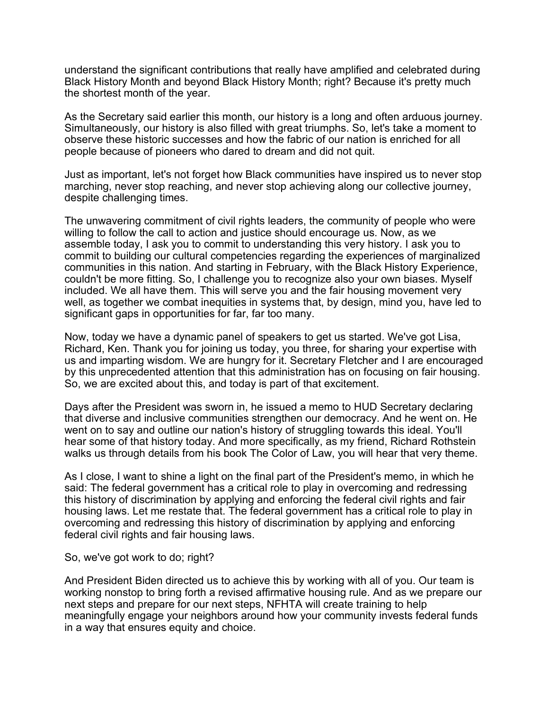understand the significant contributions that really have amplified and celebrated during Black History Month and beyond Black History Month; right? Because it's pretty much the shortest month of the year.

As the Secretary said earlier this month, our history is a long and often arduous journey. Simultaneously, our history is also filled with great triumphs. So, let's take a moment to observe these historic successes and how the fabric of our nation is enriched for all people because of pioneers who dared to dream and did not quit.

Just as important, let's not forget how Black communities have inspired us to never stop marching, never stop reaching, and never stop achieving along our collective journey, despite challenging times.

The unwavering commitment of civil rights leaders, the community of people who were willing to follow the call to action and justice should encourage us. Now, as we assemble today, I ask you to commit to understanding this very history. I ask you to commit to building our cultural competencies regarding the experiences of marginalized communities in this nation. And starting in February, with the Black History Experience, couldn't be more fitting. So, I challenge you to recognize also your own biases. Myself included. We all have them. This will serve you and the fair housing movement very well, as together we combat inequities in systems that, by design, mind you, have led to significant gaps in opportunities for far, far too many.

Now, today we have a dynamic panel of speakers to get us started. We've got Lisa, Richard, Ken. Thank you for joining us today, you three, for sharing your expertise with us and imparting wisdom. We are hungry for it. Secretary Fletcher and I are encouraged by this unprecedented attention that this administration has on focusing on fair housing. So, we are excited about this, and today is part of that excitement.

Days after the President was sworn in, he issued a memo to HUD Secretary declaring that diverse and inclusive communities strengthen our democracy. And he went on. He went on to say and outline our nation's history of struggling towards this ideal. You'll hear some of that history today. And more specifically, as my friend, Richard Rothstein walks us through details from his book The Color of Law, you will hear that very theme.

As I close, I want to shine a light on the final part of the President's memo, in which he said: The federal government has a critical role to play in overcoming and redressing this history of discrimination by applying and enforcing the federal civil rights and fair housing laws. Let me restate that. The federal government has a critical role to play in overcoming and redressing this history of discrimination by applying and enforcing federal civil rights and fair housing laws.

So, we've got work to do; right?

And President Biden directed us to achieve this by working with all of you. Our team is working nonstop to bring forth a revised affirmative housing rule. And as we prepare our next steps and prepare for our next steps, NFHTA will create training to help meaningfully engage your neighbors around how your community invests federal funds in a way that ensures equity and choice.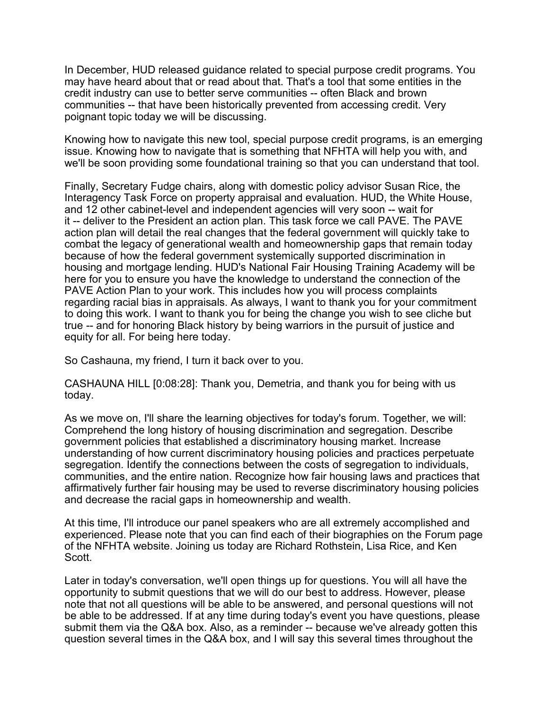In December, HUD released guidance related to special purpose credit programs. You may have heard about that or read about that. That's a tool that some entities in the credit industry can use to better serve communities -- often Black and brown communities -- that have been historically prevented from accessing credit. Very poignant topic today we will be discussing.

Knowing how to navigate this new tool, special purpose credit programs, is an emerging issue. Knowing how to navigate that is something that NFHTA will help you with, and we'll be soon providing some foundational training so that you can understand that tool.

Finally, Secretary Fudge chairs, along with domestic policy advisor Susan Rice, the Interagency Task Force on property appraisal and evaluation. HUD, the White House, and 12 other cabinet-level and independent agencies will very soon -- wait for it -- deliver to the President an action plan. This task force we call PAVE. The PAVE action plan will detail the real changes that the federal government will quickly take to combat the legacy of generational wealth and homeownership gaps that remain today because of how the federal government systemically supported discrimination in housing and mortgage lending. HUD's National Fair Housing Training Academy will be here for you to ensure you have the knowledge to understand the connection of the PAVE Action Plan to your work. This includes how you will process complaints regarding racial bias in appraisals. As always, I want to thank you for your commitment to doing this work. I want to thank you for being the change you wish to see cliche but true -- and for honoring Black history by being warriors in the pursuit of justice and equity for all. For being here today.

So Cashauna, my friend, I turn it back over to you.

CASHAUNA HILL [0:08:28]: Thank you, Demetria, and thank you for being with us today.

As we move on, I'll share the learning objectives for today's forum. Together, we will: Comprehend the long history of housing discrimination and segregation. Describe government policies that established a discriminatory housing market. Increase understanding of how current discriminatory housing policies and practices perpetuate segregation. Identify the connections between the costs of segregation to individuals, communities, and the entire nation. Recognize how fair housing laws and practices that affirmatively further fair housing may be used to reverse discriminatory housing policies and decrease the racial gaps in homeownership and wealth.

At this time, I'll introduce our panel speakers who are all extremely accomplished and experienced. Please note that you can find each of their biographies on the Forum page of the NFHTA website. Joining us today are Richard Rothstein, Lisa Rice, and Ken Scott.

Later in today's conversation, we'll open things up for questions. You will all have the opportunity to submit questions that we will do our best to address. However, please note that not all questions will be able to be answered, and personal questions will not be able to be addressed. If at any time during today's event you have questions, please submit them via the Q&A box. Also, as a reminder -- because we've already gotten this question several times in the Q&A box, and I will say this several times throughout the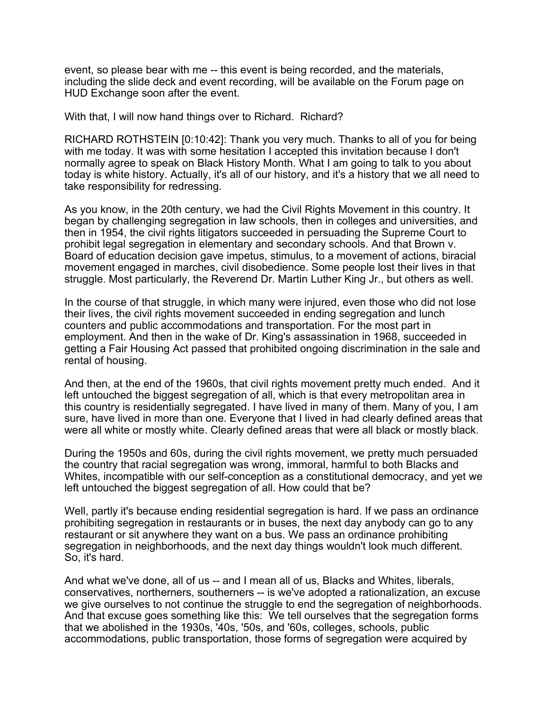event, so please bear with me -- this event is being recorded, and the materials, including the slide deck and event recording, will be available on the Forum page on HUD Exchange soon after the event.

With that, I will now hand things over to Richard. Richard?

RICHARD ROTHSTEIN [0:10:42]: Thank you very much. Thanks to all of you for being with me today. It was with some hesitation I accepted this invitation because I don't normally agree to speak on Black History Month. What I am going to talk to you about today is white history. Actually, it's all of our history, and it's a history that we all need to take responsibility for redressing.

As you know, in the 20th century, we had the Civil Rights Movement in this country. It began by challenging segregation in law schools, then in colleges and universities, and then in 1954, the civil rights litigators succeeded in persuading the Supreme Court to prohibit legal segregation in elementary and secondary schools. And that Brown v. Board of education decision gave impetus, stimulus, to a movement of actions, biracial movement engaged in marches, civil disobedience. Some people lost their lives in that struggle. Most particularly, the Reverend Dr. Martin Luther King Jr., but others as well.

In the course of that struggle, in which many were injured, even those who did not lose their lives, the civil rights movement succeeded in ending segregation and lunch counters and public accommodations and transportation. For the most part in employment. And then in the wake of Dr. King's assassination in 1968, succeeded in getting a Fair Housing Act passed that prohibited ongoing discrimination in the sale and rental of housing.

And then, at the end of the 1960s, that civil rights movement pretty much ended. And it left untouched the biggest segregation of all, which is that every metropolitan area in this country is residentially segregated. I have lived in many of them. Many of you, I am sure, have lived in more than one. Everyone that I lived in had clearly defined areas that were all white or mostly white. Clearly defined areas that were all black or mostly black.

During the 1950s and 60s, during the civil rights movement, we pretty much persuaded the country that racial segregation was wrong, immoral, harmful to both Blacks and Whites, incompatible with our self-conception as a constitutional democracy, and yet we left untouched the biggest segregation of all. How could that be?

Well, partly it's because ending residential segregation is hard. If we pass an ordinance prohibiting segregation in restaurants or in buses, the next day anybody can go to any restaurant or sit anywhere they want on a bus. We pass an ordinance prohibiting segregation in neighborhoods, and the next day things wouldn't look much different. So, it's hard.

And what we've done, all of us -- and I mean all of us, Blacks and Whites, liberals, conservatives, northerners, southerners -- is we've adopted a rationalization, an excuse we give ourselves to not continue the struggle to end the segregation of neighborhoods. And that excuse goes something like this: We tell ourselves that the segregation forms that we abolished in the 1930s, '40s, '50s, and '60s, colleges, schools, public accommodations, public transportation, those forms of segregation were acquired by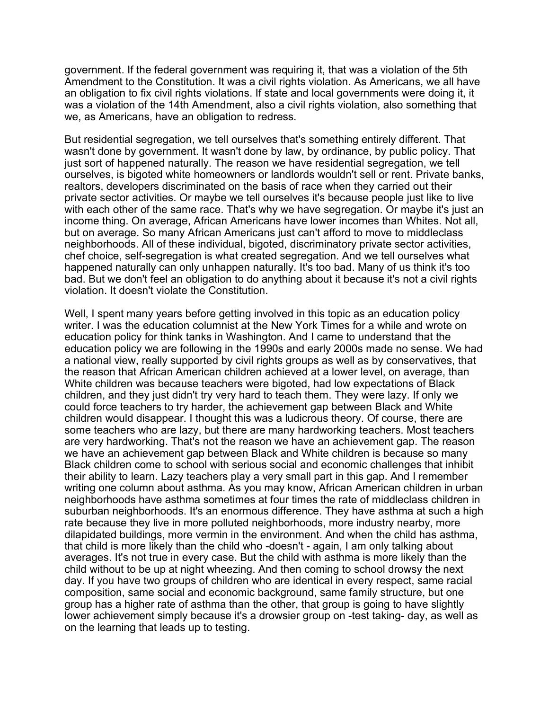government. If the federal government was requiring it, that was a violation of the 5th Amendment to the Constitution. It was a civil rights violation. As Americans, we all have an obligation to fix civil rights violations. If state and local governments were doing it, it was a violation of the 14th Amendment, also a civil rights violation, also something that we, as Americans, have an obligation to redress.

But residential segregation, we tell ourselves that's something entirely different. That wasn't done by government. It wasn't done by law, by ordinance, by public policy. That just sort of happened naturally. The reason we have residential segregation, we tell ourselves, is bigoted white homeowners or landlords wouldn't sell or rent. Private banks, realtors, developers discriminated on the basis of race when they carried out their private sector activities. Or maybe we tell ourselves it's because people just like to live with each other of the same race. That's why we have segregation. Or maybe it's just an income thing. On average, African Americans have lower incomes than Whites. Not all, but on average. So many African Americans just can't afford to move to middleclass neighborhoods. All of these individual, bigoted, discriminatory private sector activities, chef choice, self-segregation is what created segregation. And we tell ourselves what happened naturally can only unhappen naturally. It's too bad. Many of us think it's too bad. But we don't feel an obligation to do anything about it because it's not a civil rights violation. It doesn't violate the Constitution.

Well, I spent many years before getting involved in this topic as an education policy writer. I was the education columnist at the New York Times for a while and wrote on education policy for think tanks in Washington. And I came to understand that the education policy we are following in the 1990s and early 2000s made no sense. We had a national view, really supported by civil rights groups as well as by conservatives, that the reason that African American children achieved at a lower level, on average, than White children was because teachers were bigoted, had low expectations of Black children, and they just didn't try very hard to teach them. They were lazy. If only we could force teachers to try harder, the achievement gap between Black and White children would disappear. I thought this was a ludicrous theory. Of course, there are some teachers who are lazy, but there are many hardworking teachers. Most teachers are very hardworking. That's not the reason we have an achievement gap. The reason we have an achievement gap between Black and White children is because so many Black children come to school with serious social and economic challenges that inhibit their ability to learn. Lazy teachers play a very small part in this gap. And I remember writing one column about asthma. As you may know, African American children in urban neighborhoods have asthma sometimes at four times the rate of middleclass children in suburban neighborhoods. It's an enormous difference. They have asthma at such a high rate because they live in more polluted neighborhoods, more industry nearby, more dilapidated buildings, more vermin in the environment. And when the child has asthma, that child is more likely than the child who -doesn't - again, I am only talking about averages. It's not true in every case. But the child with asthma is more likely than the child without to be up at night wheezing. And then coming to school drowsy the next day. If you have two groups of children who are identical in every respect, same racial composition, same social and economic background, same family structure, but one group has a higher rate of asthma than the other, that group is going to have slightly lower achievement simply because it's a drowsier group on -test taking- day, as well as on the learning that leads up to testing.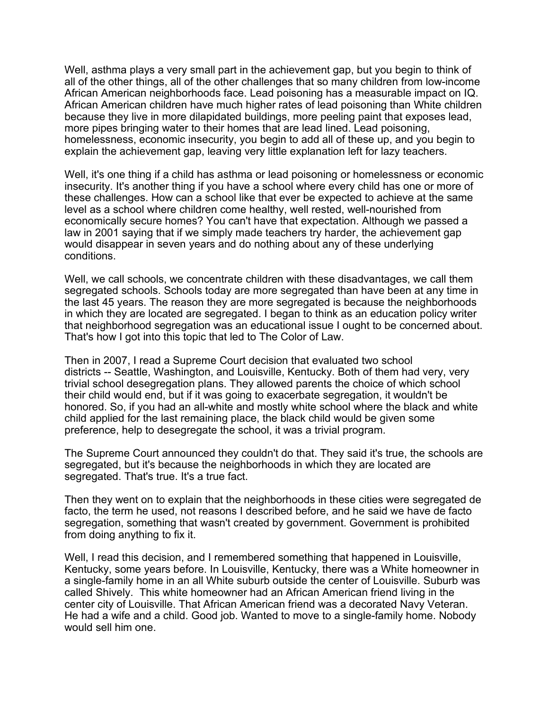Well, asthma plays a very small part in the achievement gap, but you begin to think of all of the other things, all of the other challenges that so many children from low-income African American neighborhoods face. Lead poisoning has a measurable impact on IQ. African American children have much higher rates of lead poisoning than White children because they live in more dilapidated buildings, more peeling paint that exposes lead, more pipes bringing water to their homes that are lead lined. Lead poisoning, homelessness, economic insecurity, you begin to add all of these up, and you begin to explain the achievement gap, leaving very little explanation left for lazy teachers.

Well, it's one thing if a child has asthma or lead poisoning or homelessness or economic insecurity. It's another thing if you have a school where every child has one or more of these challenges. How can a school like that ever be expected to achieve at the same level as a school where children come healthy, well rested, well-nourished from economically secure homes? You can't have that expectation. Although we passed a law in 2001 saying that if we simply made teachers try harder, the achievement gap would disappear in seven years and do nothing about any of these underlying conditions.

Well, we call schools, we concentrate children with these disadvantages, we call them segregated schools. Schools today are more segregated than have been at any time in the last 45 years. The reason they are more segregated is because the neighborhoods in which they are located are segregated. I began to think as an education policy writer that neighborhood segregation was an educational issue I ought to be concerned about. That's how I got into this topic that led to The Color of Law.

Then in 2007, I read a Supreme Court decision that evaluated two school districts -- Seattle, Washington, and Louisville, Kentucky. Both of them had very, very trivial school desegregation plans. They allowed parents the choice of which school their child would end, but if it was going to exacerbate segregation, it wouldn't be honored. So, if you had an all-white and mostly white school where the black and white child applied for the last remaining place, the black child would be given some preference, help to desegregate the school, it was a trivial program.

The Supreme Court announced they couldn't do that. They said it's true, the schools are segregated, but it's because the neighborhoods in which they are located are segregated. That's true. It's a true fact.

Then they went on to explain that the neighborhoods in these cities were segregated de facto, the term he used, not reasons I described before, and he said we have de facto segregation, something that wasn't created by government. Government is prohibited from doing anything to fix it.

Well, I read this decision, and I remembered something that happened in Louisville, Kentucky, some years before. In Louisville, Kentucky, there was a White homeowner in a single-family home in an all White suburb outside the center of Louisville. Suburb was called Shively. This white homeowner had an African American friend living in the center city of Louisville. That African American friend was a decorated Navy Veteran. He had a wife and a child. Good job. Wanted to move to a single-family home. Nobody would sell him one.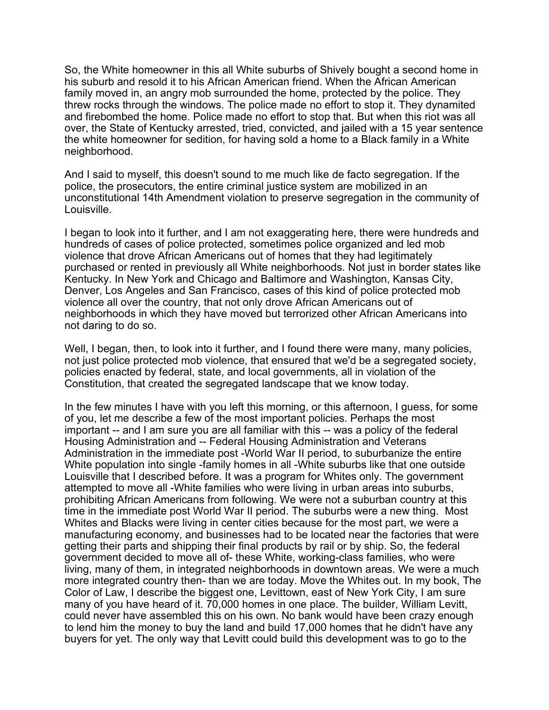So, the White homeowner in this all White suburbs of Shively bought a second home in his suburb and resold it to his African American friend. When the African American family moved in, an angry mob surrounded the home, protected by the police. They threw rocks through the windows. The police made no effort to stop it. They dynamited and firebombed the home. Police made no effort to stop that. But when this riot was all over, the State of Kentucky arrested, tried, convicted, and jailed with a 15 year sentence the white homeowner for sedition, for having sold a home to a Black family in a White neighborhood.

And I said to myself, this doesn't sound to me much like de facto segregation. If the police, the prosecutors, the entire criminal justice system are mobilized in an unconstitutional 14th Amendment violation to preserve segregation in the community of Louisville.

I began to look into it further, and I am not exaggerating here, there were hundreds and hundreds of cases of police protected, sometimes police organized and led mob violence that drove African Americans out of homes that they had legitimately purchased or rented in previously all White neighborhoods. Not just in border states like Kentucky. In New York and Chicago and Baltimore and Washington, Kansas City, Denver, Los Angeles and San Francisco, cases of this kind of police protected mob violence all over the country, that not only drove African Americans out of neighborhoods in which they have moved but terrorized other African Americans into not daring to do so.

Well, I began, then, to look into it further, and I found there were many, many policies, not just police protected mob violence, that ensured that we'd be a segregated society, policies enacted by federal, state, and local governments, all in violation of the Constitution, that created the segregated landscape that we know today.

In the few minutes I have with you left this morning, or this afternoon, I guess, for some of you, let me describe a few of the most important policies. Perhaps the most important -- and I am sure you are all familiar with this -- was a policy of the federal Housing Administration and -- Federal Housing Administration and Veterans Administration in the immediate post -World War II period, to suburbanize the entire White population into single -family homes in all -White suburbs like that one outside Louisville that I described before. It was a program for Whites only. The government attempted to move all -White families who were living in urban areas into suburbs, prohibiting African Americans from following. We were not a suburban country at this time in the immediate post World War II period. The suburbs were a new thing. Most Whites and Blacks were living in center cities because for the most part, we were a manufacturing economy, and businesses had to be located near the factories that were getting their parts and shipping their final products by rail or by ship. So, the federal government decided to move all of- these White, working-class families, who were living, many of them, in integrated neighborhoods in downtown areas. We were a much more integrated country then- than we are today. Move the Whites out. In my book, The Color of Law, I describe the biggest one, Levittown, east of New York City, I am sure many of you have heard of it. 70,000 homes in one place. The builder, William Levitt, could never have assembled this on his own. No bank would have been crazy enough to lend him the money to buy the land and build 17,000 homes that he didn't have any buyers for yet. The only way that Levitt could build this development was to go to the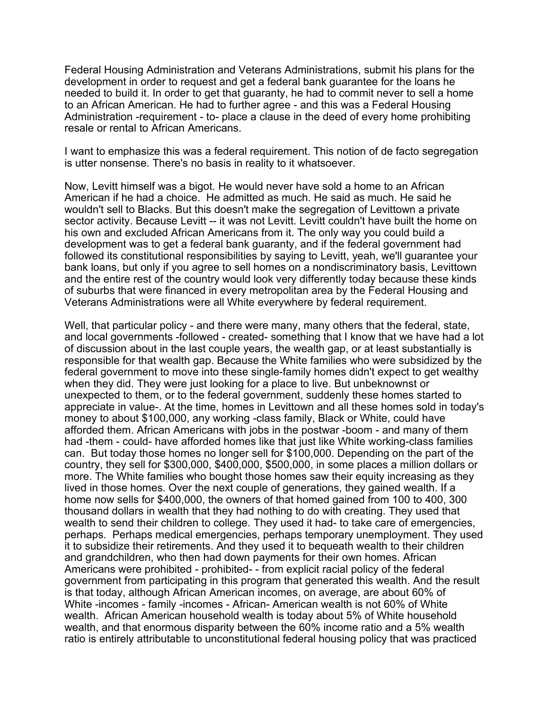Federal Housing Administration and Veterans Administrations, submit his plans for the development in order to request and get a federal bank guarantee for the loans he needed to build it. In order to get that guaranty, he had to commit never to sell a home to an African American. He had to further agree - and this was a Federal Housing Administration -requirement - to- place a clause in the deed of every home prohibiting resale or rental to African Americans.

I want to emphasize this was a federal requirement. This notion of de facto segregation is utter nonsense. There's no basis in reality to it whatsoever.

Now, Levitt himself was a bigot. He would never have sold a home to an African American if he had a choice. He admitted as much. He said as much. He said he wouldn't sell to Blacks. But this doesn't make the segregation of Levittown a private sector activity. Because Levitt -- it was not Levitt. Levitt couldn't have built the home on his own and excluded African Americans from it. The only way you could build a development was to get a federal bank guaranty, and if the federal government had followed its constitutional responsibilities by saying to Levitt, yeah, we'll guarantee your bank loans, but only if you agree to sell homes on a nondiscriminatory basis, Levittown and the entire rest of the country would look very differently today because these kinds of suburbs that were financed in every metropolitan area by the Federal Housing and Veterans Administrations were all White everywhere by federal requirement.

Well, that particular policy - and there were many, many others that the federal, state, and local governments -followed - created- something that I know that we have had a lot of discussion about in the last couple years, the wealth gap, or at least substantially is responsible for that wealth gap. Because the White families who were subsidized by the federal government to move into these single-family homes didn't expect to get wealthy when they did. They were just looking for a place to live. But unbeknownst or unexpected to them, or to the federal government, suddenly these homes started to appreciate in value-. At the time, homes in Levittown and all these homes sold in today's money to about \$100,000, any working -class family, Black or White, could have afforded them. African Americans with jobs in the postwar -boom - and many of them had -them - could- have afforded homes like that just like White working-class families can. But today those homes no longer sell for \$100,000. Depending on the part of the country, they sell for \$300,000, \$400,000, \$500,000, in some places a million dollars or more. The White families who bought those homes saw their equity increasing as they lived in those homes. Over the next couple of generations, they gained wealth. If a home now sells for \$400,000, the owners of that homed gained from 100 to 400, 300 thousand dollars in wealth that they had nothing to do with creating. They used that wealth to send their children to college. They used it had- to take care of emergencies, perhaps. Perhaps medical emergencies, perhaps temporary unemployment. They used it to subsidize their retirements. And they used it to bequeath wealth to their children and grandchildren, who then had down payments for their own homes. African Americans were prohibited - prohibited- - from explicit racial policy of the federal government from participating in this program that generated this wealth. And the result is that today, although African American incomes, on average, are about 60% of White -incomes - family -incomes - African- American wealth is not 60% of White wealth. African American household wealth is today about 5% of White household wealth, and that enormous disparity between the 60% income ratio and a 5% wealth ratio is entirely attributable to unconstitutional federal housing policy that was practiced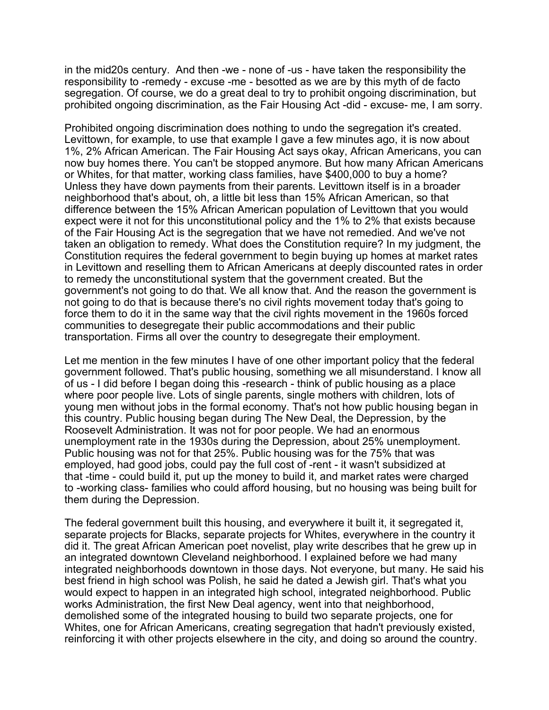in the mid20s century. And then -we - none of -us - have taken the responsibility the responsibility to -remedy - excuse -me - besotted as we are by this myth of de facto segregation. Of course, we do a great deal to try to prohibit ongoing discrimination, but prohibited ongoing discrimination, as the Fair Housing Act -did - excuse- me, I am sorry.

Prohibited ongoing discrimination does nothing to undo the segregation it's created. Levittown, for example, to use that example I gave a few minutes ago, it is now about 1%, 2% African American. The Fair Housing Act says okay, African Americans, you can now buy homes there. You can't be stopped anymore. But how many African Americans or Whites, for that matter, working class families, have \$400,000 to buy a home? Unless they have down payments from their parents. Levittown itself is in a broader neighborhood that's about, oh, a little bit less than 15% African American, so that difference between the 15% African American population of Levittown that you would expect were it not for this unconstitutional policy and the 1% to 2% that exists because of the Fair Housing Act is the segregation that we have not remedied. And we've not taken an obligation to remedy. What does the Constitution require? In my judgment, the Constitution requires the federal government to begin buying up homes at market rates in Levittown and reselling them to African Americans at deeply discounted rates in order to remedy the unconstitutional system that the government created. But the government's not going to do that. We all know that. And the reason the government is not going to do that is because there's no civil rights movement today that's going to force them to do it in the same way that the civil rights movement in the 1960s forced communities to desegregate their public accommodations and their public transportation. Firms all over the country to desegregate their employment.

Let me mention in the few minutes I have of one other important policy that the federal government followed. That's public housing, something we all misunderstand. I know all of us - I did before I began doing this -research - think of public housing as a place where poor people live. Lots of single parents, single mothers with children, lots of young men without jobs in the formal economy. That's not how public housing began in this country. Public housing began during The New Deal, the Depression, by the Roosevelt Administration. It was not for poor people. We had an enormous unemployment rate in the 1930s during the Depression, about 25% unemployment. Public housing was not for that 25%. Public housing was for the 75% that was employed, had good jobs, could pay the full cost of -rent - it wasn't subsidized at that -time - could build it, put up the money to build it, and market rates were charged to -working class- families who could afford housing, but no housing was being built for them during the Depression.

The federal government built this housing, and everywhere it built it, it segregated it, separate projects for Blacks, separate projects for Whites, everywhere in the country it did it. The great African American poet novelist, play write describes that he grew up in an integrated downtown Cleveland neighborhood. I explained before we had many integrated neighborhoods downtown in those days. Not everyone, but many. He said his best friend in high school was Polish, he said he dated a Jewish girl. That's what you would expect to happen in an integrated high school, integrated neighborhood. Public works Administration, the first New Deal agency, went into that neighborhood, demolished some of the integrated housing to build two separate projects, one for Whites, one for African Americans, creating segregation that hadn't previously existed, reinforcing it with other projects elsewhere in the city, and doing so around the country.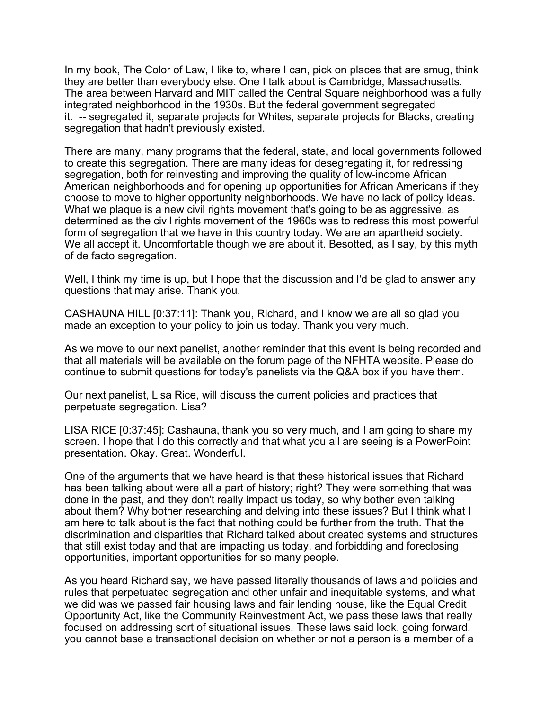In my book, The Color of Law, I like to, where I can, pick on places that are smug, think they are better than everybody else. One I talk about is Cambridge, Massachusetts. The area between Harvard and MIT called the Central Square neighborhood was a fully integrated neighborhood in the 1930s. But the federal government segregated it. -- segregated it, separate projects for Whites, separate projects for Blacks, creating segregation that hadn't previously existed.

There are many, many programs that the federal, state, and local governments followed to create this segregation. There are many ideas for desegregating it, for redressing segregation, both for reinvesting and improving the quality of low-income African American neighborhoods and for opening up opportunities for African Americans if they choose to move to higher opportunity neighborhoods. We have no lack of policy ideas. What we plaque is a new civil rights movement that's going to be as aggressive, as determined as the civil rights movement of the 1960s was to redress this most powerful form of segregation that we have in this country today. We are an apartheid society. We all accept it. Uncomfortable though we are about it. Besotted, as I say, by this myth of de facto segregation.

Well, I think my time is up, but I hope that the discussion and I'd be glad to answer any questions that may arise. Thank you.

CASHAUNA HILL [0:37:11]: Thank you, Richard, and I know we are all so glad you made an exception to your policy to join us today. Thank you very much.

As we move to our next panelist, another reminder that this event is being recorded and that all materials will be available on the forum page of the NFHTA website. Please do continue to submit questions for today's panelists via the Q&A box if you have them.

Our next panelist, Lisa Rice, will discuss the current policies and practices that perpetuate segregation. Lisa?

LISA RICE [0:37:45]: Cashauna, thank you so very much, and I am going to share my screen. I hope that I do this correctly and that what you all are seeing is a PowerPoint presentation. Okay. Great. Wonderful.

One of the arguments that we have heard is that these historical issues that Richard has been talking about were all a part of history; right? They were something that was done in the past, and they don't really impact us today, so why bother even talking about them? Why bother researching and delving into these issues? But I think what I am here to talk about is the fact that nothing could be further from the truth. That the discrimination and disparities that Richard talked about created systems and structures that still exist today and that are impacting us today, and forbidding and foreclosing opportunities, important opportunities for so many people.

As you heard Richard say, we have passed literally thousands of laws and policies and rules that perpetuated segregation and other unfair and inequitable systems, and what we did was we passed fair housing laws and fair lending house, like the Equal Credit Opportunity Act, like the Community Reinvestment Act, we pass these laws that really focused on addressing sort of situational issues. These laws said look, going forward, you cannot base a transactional decision on whether or not a person is a member of a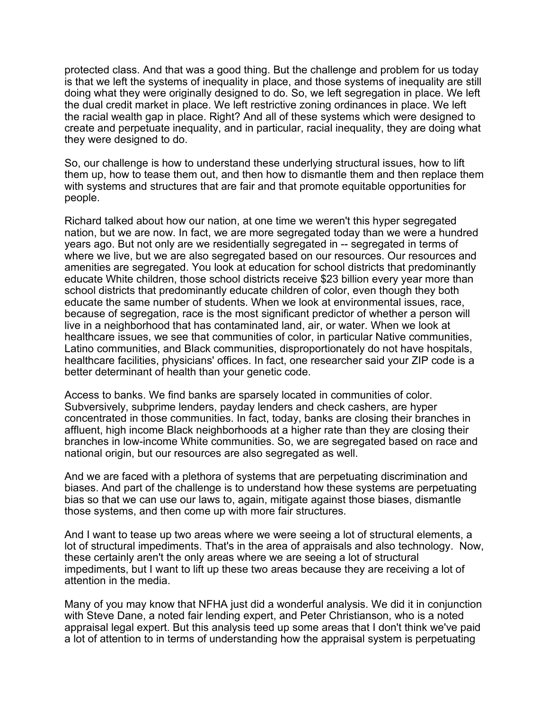protected class. And that was a good thing. But the challenge and problem for us today is that we left the systems of inequality in place, and those systems of inequality are still doing what they were originally designed to do. So, we left segregation in place. We left the dual credit market in place. We left restrictive zoning ordinances in place. We left the racial wealth gap in place. Right? And all of these systems which were designed to create and perpetuate inequality, and in particular, racial inequality, they are doing what they were designed to do.

So, our challenge is how to understand these underlying structural issues, how to lift them up, how to tease them out, and then how to dismantle them and then replace them with systems and structures that are fair and that promote equitable opportunities for people.

Richard talked about how our nation, at one time we weren't this hyper segregated nation, but we are now. In fact, we are more segregated today than we were a hundred years ago. But not only are we residentially segregated in -- segregated in terms of where we live, but we are also segregated based on our resources. Our resources and amenities are segregated. You look at education for school districts that predominantly educate White children, those school districts receive \$23 billion every year more than school districts that predominantly educate children of color, even though they both educate the same number of students. When we look at environmental issues, race, because of segregation, race is the most significant predictor of whether a person will live in a neighborhood that has contaminated land, air, or water. When we look at healthcare issues, we see that communities of color, in particular Native communities, Latino communities, and Black communities, disproportionately do not have hospitals, healthcare facilities, physicians' offices. In fact, one researcher said your ZIP code is a better determinant of health than your genetic code.

Access to banks. We find banks are sparsely located in communities of color. Subversively, subprime lenders, payday lenders and check cashers, are hyper concentrated in those communities. In fact, today, banks are closing their branches in affluent, high income Black neighborhoods at a higher rate than they are closing their branches in low-income White communities. So, we are segregated based on race and national origin, but our resources are also segregated as well.

And we are faced with a plethora of systems that are perpetuating discrimination and biases. And part of the challenge is to understand how these systems are perpetuating bias so that we can use our laws to, again, mitigate against those biases, dismantle those systems, and then come up with more fair structures.

And I want to tease up two areas where we were seeing a lot of structural elements, a lot of structural impediments. That's in the area of appraisals and also technology. Now, these certainly aren't the only areas where we are seeing a lot of structural impediments, but I want to lift up these two areas because they are receiving a lot of attention in the media.

Many of you may know that NFHA just did a wonderful analysis. We did it in conjunction with Steve Dane, a noted fair lending expert, and Peter Christianson, who is a noted appraisal legal expert. But this analysis teed up some areas that I don't think we've paid a lot of attention to in terms of understanding how the appraisal system is perpetuating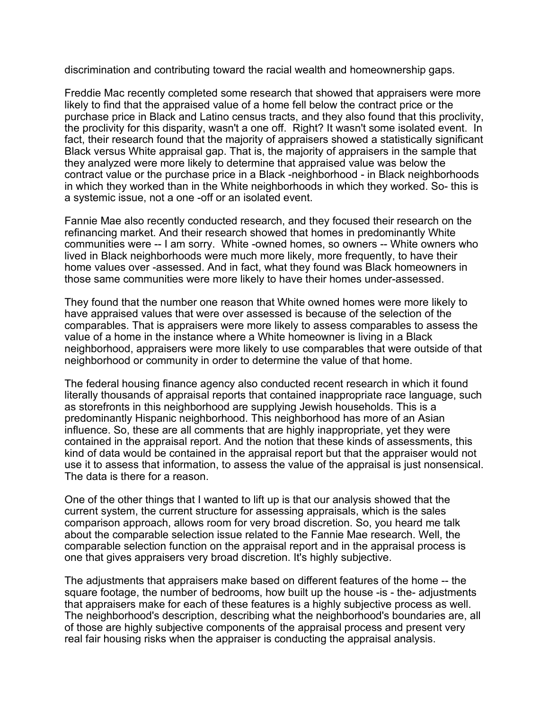discrimination and contributing toward the racial wealth and homeownership gaps.

Freddie Mac recently completed some research that showed that appraisers were more likely to find that the appraised value of a home fell below the contract price or the purchase price in Black and Latino census tracts, and they also found that this proclivity, the proclivity for this disparity, wasn't a one off. Right? It wasn't some isolated event. In fact, their research found that the majority of appraisers showed a statistically significant Black versus White appraisal gap. That is, the majority of appraisers in the sample that they analyzed were more likely to determine that appraised value was below the contract value or the purchase price in a Black -neighborhood - in Black neighborhoods in which they worked than in the White neighborhoods in which they worked. So- this is a systemic issue, not a one -off or an isolated event.

Fannie Mae also recently conducted research, and they focused their research on the refinancing market. And their research showed that homes in predominantly White communities were -- I am sorry. White -owned homes, so owners -- White owners who lived in Black neighborhoods were much more likely, more frequently, to have their home values over -assessed. And in fact, what they found was Black homeowners in those same communities were more likely to have their homes under-assessed.

They found that the number one reason that White owned homes were more likely to have appraised values that were over assessed is because of the selection of the comparables. That is appraisers were more likely to assess comparables to assess the value of a home in the instance where a White homeowner is living in a Black neighborhood, appraisers were more likely to use comparables that were outside of that neighborhood or community in order to determine the value of that home.

The federal housing finance agency also conducted recent research in which it found literally thousands of appraisal reports that contained inappropriate race language, such as storefronts in this neighborhood are supplying Jewish households. This is a predominantly Hispanic neighborhood. This neighborhood has more of an Asian influence. So, these are all comments that are highly inappropriate, yet they were contained in the appraisal report. And the notion that these kinds of assessments, this kind of data would be contained in the appraisal report but that the appraiser would not use it to assess that information, to assess the value of the appraisal is just nonsensical. The data is there for a reason.

One of the other things that I wanted to lift up is that our analysis showed that the current system, the current structure for assessing appraisals, which is the sales comparison approach, allows room for very broad discretion. So, you heard me talk about the comparable selection issue related to the Fannie Mae research. Well, the comparable selection function on the appraisal report and in the appraisal process is one that gives appraisers very broad discretion. It's highly subjective.

The adjustments that appraisers make based on different features of the home -- the square footage, the number of bedrooms, how built up the house -is - the- adjustments that appraisers make for each of these features is a highly subjective process as well. The neighborhood's description, describing what the neighborhood's boundaries are, all of those are highly subjective components of the appraisal process and present very real fair housing risks when the appraiser is conducting the appraisal analysis.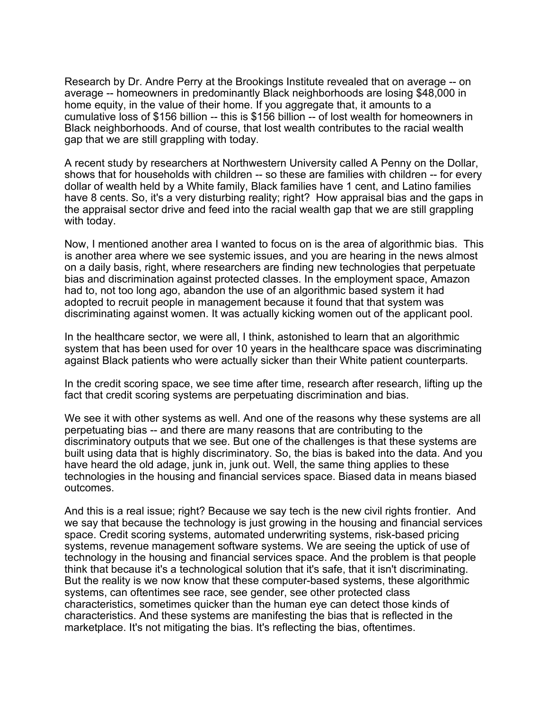Research by Dr. Andre Perry at the Brookings Institute revealed that on average -- on average -- homeowners in predominantly Black neighborhoods are losing \$48,000 in home equity, in the value of their home. If you aggregate that, it amounts to a cumulative loss of \$156 billion -- this is \$156 billion -- of lost wealth for homeowners in Black neighborhoods. And of course, that lost wealth contributes to the racial wealth gap that we are still grappling with today.

A recent study by researchers at Northwestern University called A Penny on the Dollar, shows that for households with children -- so these are families with children -- for every dollar of wealth held by a White family, Black families have 1 cent, and Latino families have 8 cents. So, it's a very disturbing reality; right? How appraisal bias and the gaps in the appraisal sector drive and feed into the racial wealth gap that we are still grappling with today.

Now, I mentioned another area I wanted to focus on is the area of algorithmic bias. This is another area where we see systemic issues, and you are hearing in the news almost on a daily basis, right, where researchers are finding new technologies that perpetuate bias and discrimination against protected classes. In the employment space, Amazon had to, not too long ago, abandon the use of an algorithmic based system it had adopted to recruit people in management because it found that that system was discriminating against women. It was actually kicking women out of the applicant pool.

In the healthcare sector, we were all, I think, astonished to learn that an algorithmic system that has been used for over 10 years in the healthcare space was discriminating against Black patients who were actually sicker than their White patient counterparts.

In the credit scoring space, we see time after time, research after research, lifting up the fact that credit scoring systems are perpetuating discrimination and bias.

We see it with other systems as well. And one of the reasons why these systems are all perpetuating bias -- and there are many reasons that are contributing to the discriminatory outputs that we see. But one of the challenges is that these systems are built using data that is highly discriminatory. So, the bias is baked into the data. And you have heard the old adage, junk in, junk out. Well, the same thing applies to these technologies in the housing and financial services space. Biased data in means biased outcomes.

And this is a real issue; right? Because we say tech is the new civil rights frontier. And we say that because the technology is just growing in the housing and financial services space. Credit scoring systems, automated underwriting systems, risk-based pricing systems, revenue management software systems. We are seeing the uptick of use of technology in the housing and financial services space. And the problem is that people think that because it's a technological solution that it's safe, that it isn't discriminating. But the reality is we now know that these computer-based systems, these algorithmic systems, can oftentimes see race, see gender, see other protected class characteristics, sometimes quicker than the human eye can detect those kinds of characteristics. And these systems are manifesting the bias that is reflected in the marketplace. It's not mitigating the bias. It's reflecting the bias, oftentimes.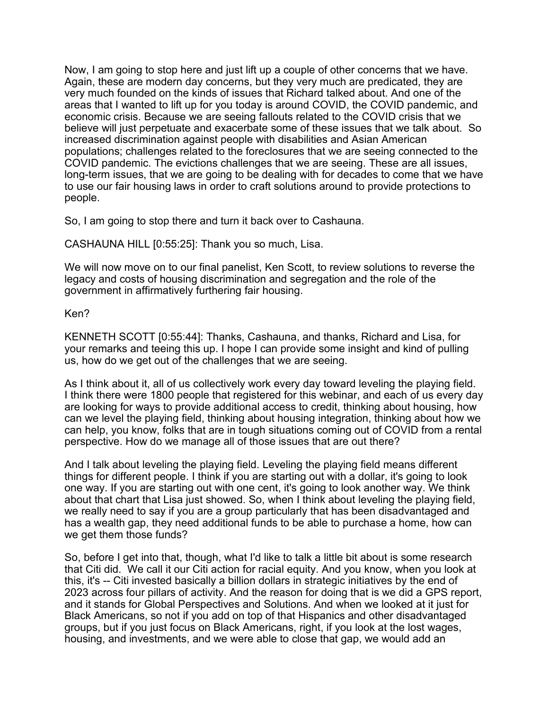Now, I am going to stop here and just lift up a couple of other concerns that we have. Again, these are modern day concerns, but they very much are predicated, they are very much founded on the kinds of issues that Richard talked about. And one of the areas that I wanted to lift up for you today is around COVID, the COVID pandemic, and economic crisis. Because we are seeing fallouts related to the COVID crisis that we believe will just perpetuate and exacerbate some of these issues that we talk about. So increased discrimination against people with disabilities and Asian American populations; challenges related to the foreclosures that we are seeing connected to the COVID pandemic. The evictions challenges that we are seeing. These are all issues, long-term issues, that we are going to be dealing with for decades to come that we have to use our fair housing laws in order to craft solutions around to provide protections to people.

So, I am going to stop there and turn it back over to Cashauna.

CASHAUNA HILL [0:55:25]: Thank you so much, Lisa.

We will now move on to our final panelist, Ken Scott, to review solutions to reverse the legacy and costs of housing discrimination and segregation and the role of the government in affirmatively furthering fair housing.

## Ken?

KENNETH SCOTT [0:55:44]: Thanks, Cashauna, and thanks, Richard and Lisa, for your remarks and teeing this up. I hope I can provide some insight and kind of pulling us, how do we get out of the challenges that we are seeing.

As I think about it, all of us collectively work every day toward leveling the playing field. I think there were 1800 people that registered for this webinar, and each of us every day are looking for ways to provide additional access to credit, thinking about housing, how can we level the playing field, thinking about housing integration, thinking about how we can help, you know, folks that are in tough situations coming out of COVID from a rental perspective. How do we manage all of those issues that are out there?

And I talk about leveling the playing field. Leveling the playing field means different things for different people. I think if you are starting out with a dollar, it's going to look one way. If you are starting out with one cent, it's going to look another way. We think about that chart that Lisa just showed. So, when I think about leveling the playing field, we really need to say if you are a group particularly that has been disadvantaged and has a wealth gap, they need additional funds to be able to purchase a home, how can we get them those funds?

So, before I get into that, though, what I'd like to talk a little bit about is some research that Citi did. We call it our Citi action for racial equity. And you know, when you look at this, it's -- Citi invested basically a billion dollars in strategic initiatives by the end of 2023 across four pillars of activity. And the reason for doing that is we did a GPS report, and it stands for Global Perspectives and Solutions. And when we looked at it just for Black Americans, so not if you add on top of that Hispanics and other disadvantaged groups, but if you just focus on Black Americans, right, if you look at the lost wages, housing, and investments, and we were able to close that gap, we would add an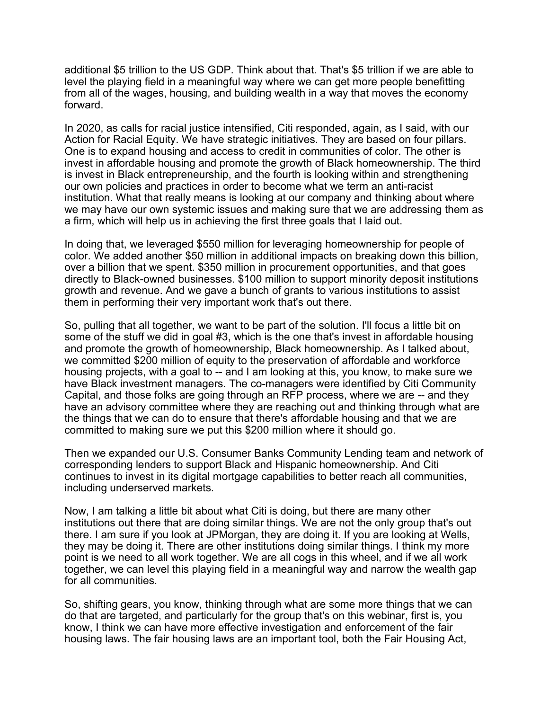additional \$5 trillion to the US GDP. Think about that. That's \$5 trillion if we are able to level the playing field in a meaningful way where we can get more people benefitting from all of the wages, housing, and building wealth in a way that moves the economy forward.

In 2020, as calls for racial justice intensified, Citi responded, again, as I said, with our Action for Racial Equity. We have strategic initiatives. They are based on four pillars. One is to expand housing and access to credit in communities of color. The other is invest in affordable housing and promote the growth of Black homeownership. The third is invest in Black entrepreneurship, and the fourth is looking within and strengthening our own policies and practices in order to become what we term an anti-racist institution. What that really means is looking at our company and thinking about where we may have our own systemic issues and making sure that we are addressing them as a firm, which will help us in achieving the first three goals that I laid out.

In doing that, we leveraged \$550 million for leveraging homeownership for people of color. We added another \$50 million in additional impacts on breaking down this billion, over a billion that we spent. \$350 million in procurement opportunities, and that goes directly to Black-owned businesses. \$100 million to support minority deposit institutions growth and revenue. And we gave a bunch of grants to various institutions to assist them in performing their very important work that's out there.

So, pulling that all together, we want to be part of the solution. I'll focus a little bit on some of the stuff we did in goal #3, which is the one that's invest in affordable housing and promote the growth of homeownership, Black homeownership. As I talked about, we committed \$200 million of equity to the preservation of affordable and workforce housing projects, with a goal to -- and I am looking at this, you know, to make sure we have Black investment managers. The co-managers were identified by Citi Community Capital, and those folks are going through an RFP process, where we are -- and they have an advisory committee where they are reaching out and thinking through what are the things that we can do to ensure that there's affordable housing and that we are committed to making sure we put this \$200 million where it should go.

Then we expanded our U.S. Consumer Banks Community Lending team and network of corresponding lenders to support Black and Hispanic homeownership. And Citi continues to invest in its digital mortgage capabilities to better reach all communities, including underserved markets.

Now, I am talking a little bit about what Citi is doing, but there are many other institutions out there that are doing similar things. We are not the only group that's out there. I am sure if you look at JPMorgan, they are doing it. If you are looking at Wells, they may be doing it. There are other institutions doing similar things. I think my more point is we need to all work together. We are all cogs in this wheel, and if we all work together, we can level this playing field in a meaningful way and narrow the wealth gap for all communities.

So, shifting gears, you know, thinking through what are some more things that we can do that are targeted, and particularly for the group that's on this webinar, first is, you know, I think we can have more effective investigation and enforcement of the fair housing laws. The fair housing laws are an important tool, both the Fair Housing Act,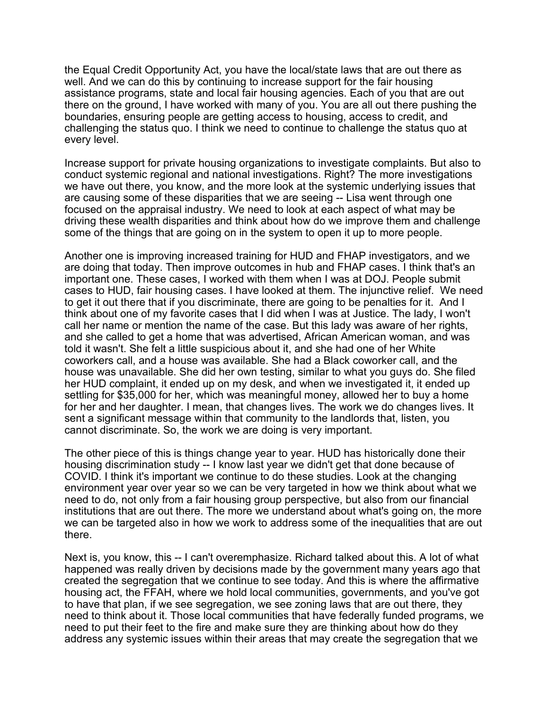the Equal Credit Opportunity Act, you have the local/state laws that are out there as well. And we can do this by continuing to increase support for the fair housing assistance programs, state and local fair housing agencies. Each of you that are out there on the ground, I have worked with many of you. You are all out there pushing the boundaries, ensuring people are getting access to housing, access to credit, and challenging the status quo. I think we need to continue to challenge the status quo at every level.

Increase support for private housing organizations to investigate complaints. But also to conduct systemic regional and national investigations. Right? The more investigations we have out there, you know, and the more look at the systemic underlying issues that are causing some of these disparities that we are seeing -- Lisa went through one focused on the appraisal industry. We need to look at each aspect of what may be driving these wealth disparities and think about how do we improve them and challenge some of the things that are going on in the system to open it up to more people.

Another one is improving increased training for HUD and FHAP investigators, and we are doing that today. Then improve outcomes in hub and FHAP cases. I think that's an important one. These cases, I worked with them when I was at DOJ. People submit cases to HUD, fair housing cases. I have looked at them. The injunctive relief. We need to get it out there that if you discriminate, there are going to be penalties for it. And I think about one of my favorite cases that I did when I was at Justice. The lady, I won't call her name or mention the name of the case. But this lady was aware of her rights, and she called to get a home that was advertised, African American woman, and was told it wasn't. She felt a little suspicious about it, and she had one of her White coworkers call, and a house was available. She had a Black coworker call, and the house was unavailable. She did her own testing, similar to what you guys do. She filed her HUD complaint, it ended up on my desk, and when we investigated it, it ended up settling for \$35,000 for her, which was meaningful money, allowed her to buy a home for her and her daughter. I mean, that changes lives. The work we do changes lives. It sent a significant message within that community to the landlords that, listen, you cannot discriminate. So, the work we are doing is very important.

The other piece of this is things change year to year. HUD has historically done their housing discrimination study -- I know last year we didn't get that done because of COVID. I think it's important we continue to do these studies. Look at the changing environment year over year so we can be very targeted in how we think about what we need to do, not only from a fair housing group perspective, but also from our financial institutions that are out there. The more we understand about what's going on, the more we can be targeted also in how we work to address some of the inequalities that are out there.

Next is, you know, this -- I can't overemphasize. Richard talked about this. A lot of what happened was really driven by decisions made by the government many years ago that created the segregation that we continue to see today. And this is where the affirmative housing act, the FFAH, where we hold local communities, governments, and you've got to have that plan, if we see segregation, we see zoning laws that are out there, they need to think about it. Those local communities that have federally funded programs, we need to put their feet to the fire and make sure they are thinking about how do they address any systemic issues within their areas that may create the segregation that we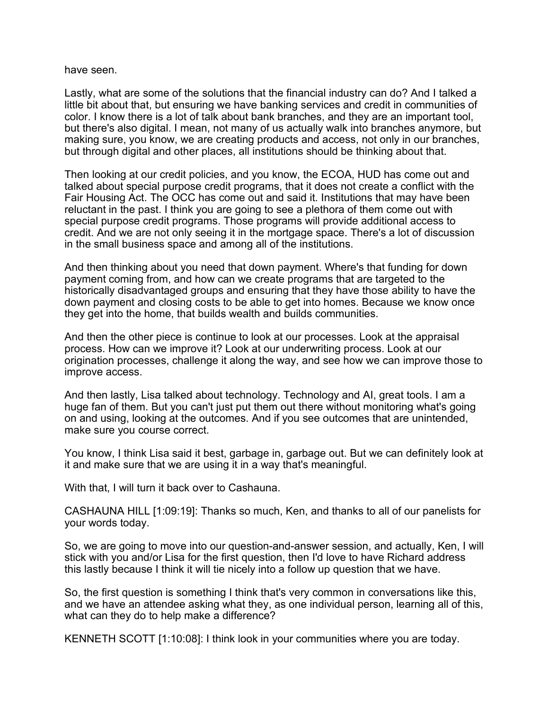have seen.

Lastly, what are some of the solutions that the financial industry can do? And I talked a little bit about that, but ensuring we have banking services and credit in communities of color. I know there is a lot of talk about bank branches, and they are an important tool, but there's also digital. I mean, not many of us actually walk into branches anymore, but making sure, you know, we are creating products and access, not only in our branches, but through digital and other places, all institutions should be thinking about that.

Then looking at our credit policies, and you know, the ECOA, HUD has come out and talked about special purpose credit programs, that it does not create a conflict with the Fair Housing Act. The OCC has come out and said it. Institutions that may have been reluctant in the past. I think you are going to see a plethora of them come out with special purpose credit programs. Those programs will provide additional access to credit. And we are not only seeing it in the mortgage space. There's a lot of discussion in the small business space and among all of the institutions.

And then thinking about you need that down payment. Where's that funding for down payment coming from, and how can we create programs that are targeted to the historically disadvantaged groups and ensuring that they have those ability to have the down payment and closing costs to be able to get into homes. Because we know once they get into the home, that builds wealth and builds communities.

And then the other piece is continue to look at our processes. Look at the appraisal process. How can we improve it? Look at our underwriting process. Look at our origination processes, challenge it along the way, and see how we can improve those to improve access.

And then lastly, Lisa talked about technology. Technology and AI, great tools. I am a huge fan of them. But you can't just put them out there without monitoring what's going on and using, looking at the outcomes. And if you see outcomes that are unintended, make sure you course correct.

You know, I think Lisa said it best, garbage in, garbage out. But we can definitely look at it and make sure that we are using it in a way that's meaningful.

With that, I will turn it back over to Cashauna.

CASHAUNA HILL [1:09:19]: Thanks so much, Ken, and thanks to all of our panelists for your words today.

So, we are going to move into our question-and-answer session, and actually, Ken, I will stick with you and/or Lisa for the first question, then I'd love to have Richard address this lastly because I think it will tie nicely into a follow up question that we have.

So, the first question is something I think that's very common in conversations like this, and we have an attendee asking what they, as one individual person, learning all of this, what can they do to help make a difference?

KENNETH SCOTT [1:10:08]: I think look in your communities where you are today.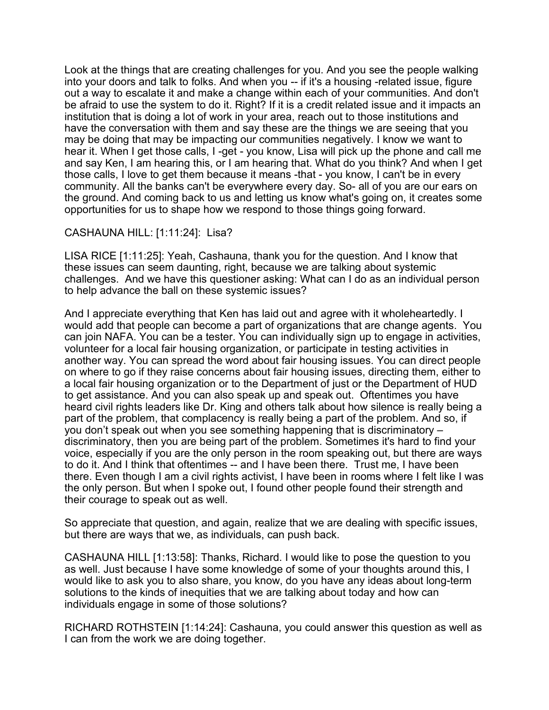Look at the things that are creating challenges for you. And you see the people walking into your doors and talk to folks. And when you -- if it's a housing -related issue, figure out a way to escalate it and make a change within each of your communities. And don't be afraid to use the system to do it. Right? If it is a credit related issue and it impacts an institution that is doing a lot of work in your area, reach out to those institutions and have the conversation with them and say these are the things we are seeing that you may be doing that may be impacting our communities negatively. I know we want to hear it. When I get those calls, I -get - you know, Lisa will pick up the phone and call me and say Ken, I am hearing this, or I am hearing that. What do you think? And when I get those calls, I love to get them because it means -that - you know, I can't be in every community. All the banks can't be everywhere every day. So- all of you are our ears on the ground. And coming back to us and letting us know what's going on, it creates some opportunities for us to shape how we respond to those things going forward.

## CASHAUNA HILL: [1:11:24]: Lisa?

LISA RICE [1:11:25]: Yeah, Cashauna, thank you for the question. And I know that these issues can seem daunting, right, because we are talking about systemic challenges. And we have this questioner asking: What can I do as an individual person to help advance the ball on these systemic issues?

And I appreciate everything that Ken has laid out and agree with it wholeheartedly. I would add that people can become a part of organizations that are change agents. You can join NAFA. You can be a tester. You can individually sign up to engage in activities, volunteer for a local fair housing organization, or participate in testing activities in another way. You can spread the word about fair housing issues. You can direct people on where to go if they raise concerns about fair housing issues, directing them, either to a local fair housing organization or to the Department of just or the Department of HUD to get assistance. And you can also speak up and speak out. Oftentimes you have heard civil rights leaders like Dr. King and others talk about how silence is really being a part of the problem, that complacency is really being a part of the problem. And so, if you don't speak out when you see something happening that is discriminatory – discriminatory, then you are being part of the problem. Sometimes it's hard to find your voice, especially if you are the only person in the room speaking out, but there are ways to do it. And I think that oftentimes -- and I have been there. Trust me, I have been there. Even though I am a civil rights activist, I have been in rooms where I felt like I was the only person. But when I spoke out, I found other people found their strength and their courage to speak out as well.

So appreciate that question, and again, realize that we are dealing with specific issues, but there are ways that we, as individuals, can push back.

CASHAUNA HILL [1:13:58]: Thanks, Richard. I would like to pose the question to you as well. Just because I have some knowledge of some of your thoughts around this, I would like to ask you to also share, you know, do you have any ideas about long-term solutions to the kinds of inequities that we are talking about today and how can individuals engage in some of those solutions?

RICHARD ROTHSTEIN [1:14:24]: Cashauna, you could answer this question as well as I can from the work we are doing together.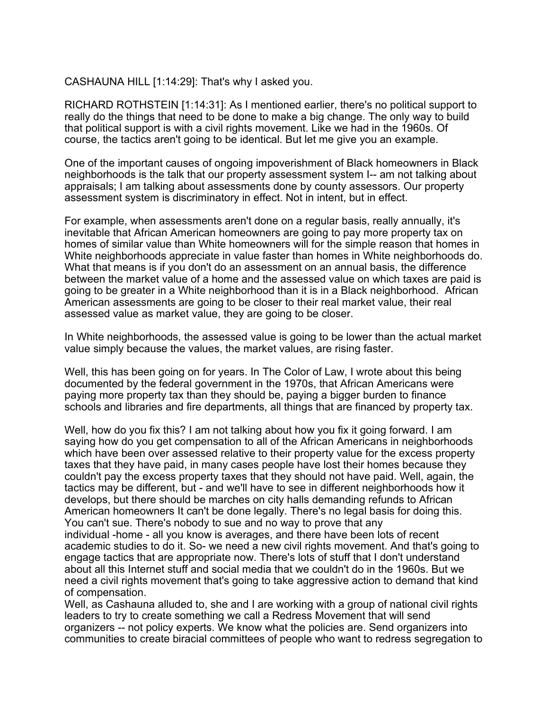CASHAUNA HILL [1:14:29]: That's why I asked you.

RICHARD ROTHSTEIN [1:14:31]: As I mentioned earlier, there's no political support to really do the things that need to be done to make a big change. The only way to build that political support is with a civil rights movement. Like we had in the 1960s. Of course, the tactics aren't going to be identical. But let me give you an example.

One of the important causes of ongoing impoverishment of Black homeowners in Black neighborhoods is the talk that our property assessment system I-- am not talking about appraisals; I am talking about assessments done by county assessors. Our property assessment system is discriminatory in effect. Not in intent, but in effect.

For example, when assessments aren't done on a regular basis, really annually, it's inevitable that African American homeowners are going to pay more property tax on homes of similar value than White homeowners will for the simple reason that homes in White neighborhoods appreciate in value faster than homes in White neighborhoods do. What that means is if you don't do an assessment on an annual basis, the difference between the market value of a home and the assessed value on which taxes are paid is going to be greater in a White neighborhood than it is in a Black neighborhood. African American assessments are going to be closer to their real market value, their real assessed value as market value, they are going to be closer.

In White neighborhoods, the assessed value is going to be lower than the actual market value simply because the values, the market values, are rising faster.

Well, this has been going on for years. In The Color of Law, I wrote about this being documented by the federal government in the 1970s, that African Americans were paying more property tax than they should be, paying a bigger burden to finance schools and libraries and fire departments, all things that are financed by property tax.

Well, how do you fix this? I am not talking about how you fix it going forward. I am saying how do you get compensation to all of the African Americans in neighborhoods which have been over assessed relative to their property value for the excess property taxes that they have paid, in many cases people have lost their homes because they couldn't pay the excess property taxes that they should not have paid. Well, again, the tactics may be different, but - and we'll have to see in different neighborhoods how it develops, but there should be marches on city halls demanding refunds to African American homeowners It can't be done legally. There's no legal basis for doing this. You can't sue. There's nobody to sue and no way to prove that any individual -home - all you know is averages, and there have been lots of recent academic studies to do it. So- we need a new civil rights movement. And that's going to engage tactics that are appropriate now. There's lots of stuff that I don't understand about all this Internet stuff and social media that we couldn't do in the 1960s. But we need a civil rights movement that's going to take aggressive action to demand that kind of compensation.

Well, as Cashauna alluded to, she and I are working with a group of national civil rights leaders to try to create something we call a Redress Movement that will send organizers -- not policy experts. We know what the policies are. Send organizers into communities to create biracial committees of people who want to redress segregation to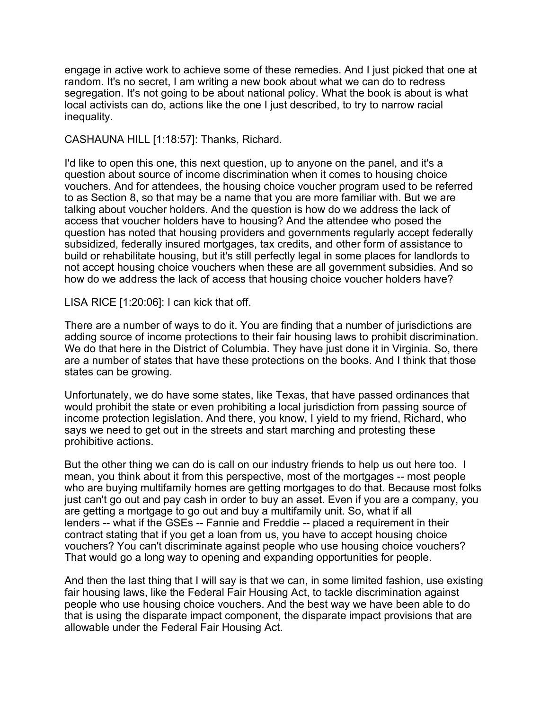engage in active work to achieve some of these remedies. And I just picked that one at random. It's no secret, I am writing a new book about what we can do to redress segregation. It's not going to be about national policy. What the book is about is what local activists can do, actions like the one I just described, to try to narrow racial inequality.

CASHAUNA HILL [1:18:57]: Thanks, Richard.

I'd like to open this one, this next question, up to anyone on the panel, and it's a question about source of income discrimination when it comes to housing choice vouchers. And for attendees, the housing choice voucher program used to be referred to as Section 8, so that may be a name that you are more familiar with. But we are talking about voucher holders. And the question is how do we address the lack of access that voucher holders have to housing? And the attendee who posed the question has noted that housing providers and governments regularly accept federally subsidized, federally insured mortgages, tax credits, and other form of assistance to build or rehabilitate housing, but it's still perfectly legal in some places for landlords to not accept housing choice vouchers when these are all government subsidies. And so how do we address the lack of access that housing choice voucher holders have?

LISA RICE [1:20:06]: I can kick that off.

There are a number of ways to do it. You are finding that a number of jurisdictions are adding source of income protections to their fair housing laws to prohibit discrimination. We do that here in the District of Columbia. They have just done it in Virginia. So, there are a number of states that have these protections on the books. And I think that those states can be growing.

Unfortunately, we do have some states, like Texas, that have passed ordinances that would prohibit the state or even prohibiting a local jurisdiction from passing source of income protection legislation. And there, you know, I yield to my friend, Richard, who says we need to get out in the streets and start marching and protesting these prohibitive actions.

But the other thing we can do is call on our industry friends to help us out here too. I mean, you think about it from this perspective, most of the mortgages -- most people who are buying multifamily homes are getting mortgages to do that. Because most folks just can't go out and pay cash in order to buy an asset. Even if you are a company, you are getting a mortgage to go out and buy a multifamily unit. So, what if all lenders -- what if the GSEs -- Fannie and Freddie -- placed a requirement in their contract stating that if you get a loan from us, you have to accept housing choice vouchers? You can't discriminate against people who use housing choice vouchers? That would go a long way to opening and expanding opportunities for people.

And then the last thing that I will say is that we can, in some limited fashion, use existing fair housing laws, like the Federal Fair Housing Act, to tackle discrimination against people who use housing choice vouchers. And the best way we have been able to do that is using the disparate impact component, the disparate impact provisions that are allowable under the Federal Fair Housing Act.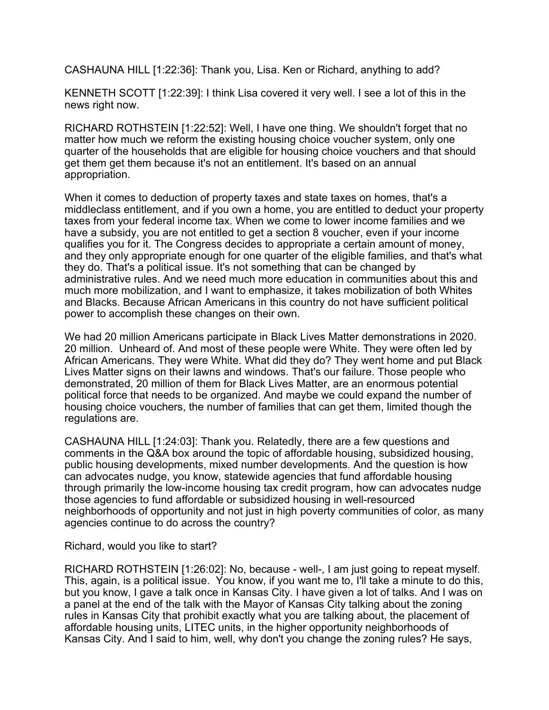CASHAUNA HILL [1:22:36]: Thank you, Lisa. Ken or Richard, anything to add?

KENNETH SCOTT [1:22:39]: I think Lisa covered it very well. I see a lot of this in the news right now.

RICHARD ROTHSTEIN [1:22:52]: Well, I have one thing. We shouldn't forget that no matter how much we reform the existing housing choice voucher system, only one quarter of the households that are eligible for housing choice vouchers and that should get them get them because it's not an entitlement. It's based on an annual appropriation.

When it comes to deduction of property taxes and state taxes on homes, that's a middleclass entitlement, and if you own a home, you are entitled to deduct your property taxes from your federal income tax. When we come to lower income families and we have a subsidy, you are not entitled to get a section 8 voucher, even if your income qualifies you for it. The Congress decides to appropriate a certain amount of money, and they only appropriate enough for one quarter of the eligible families, and that's what they do. That's a political issue. It's not something that can be changed by administrative rules. And we need much more education in communities about this and much more mobilization, and I want to emphasize, it takes mobilization of both Whites and Blacks. Because African Americans in this country do not have sufficient political power to accomplish these changes on their own.

We had 20 million Americans participate in Black Lives Matter demonstrations in 2020. 20 million. Unheard of. And most of these people were White. They were often led by African Americans. They were White. What did they do? They went home and put Black Lives Matter signs on their lawns and windows. That's our failure. Those people who demonstrated, 20 million of them for Black Lives Matter, are an enormous potential political force that needs to be organized. And maybe we could expand the number of housing choice vouchers, the number of families that can get them, limited though the regulations are.

CASHAUNA HILL [1:24:03]: Thank you. Relatedly, there are a few questions and comments in the Q&A box around the topic of affordable housing, subsidized housing, public housing developments, mixed number developments. And the question is how can advocates nudge, you know, statewide agencies that fund affordable housing through primarily the low-income housing tax credit program, how can advocates nudge those agencies to fund affordable or subsidized housing in well-resourced neighborhoods of opportunity and not just in high poverty communities of color, as many agencies continue to do across the country?

Richard, would you like to start?

RICHARD ROTHSTEIN [1:26:02]: No, because - well-, I am just going to repeat myself. This, again, is a political issue. You know, if you want me to, I'll take a minute to do this, but you know, I gave a talk once in Kansas City. I have given a lot of talks. And I was on a panel at the end of the talk with the Mayor of Kansas City talking about the zoning rules in Kansas City that prohibit exactly what you are talking about, the placement of affordable housing units, LITEC units, in the higher opportunity neighborhoods of Kansas City. And I said to him, well, why don't you change the zoning rules? He says,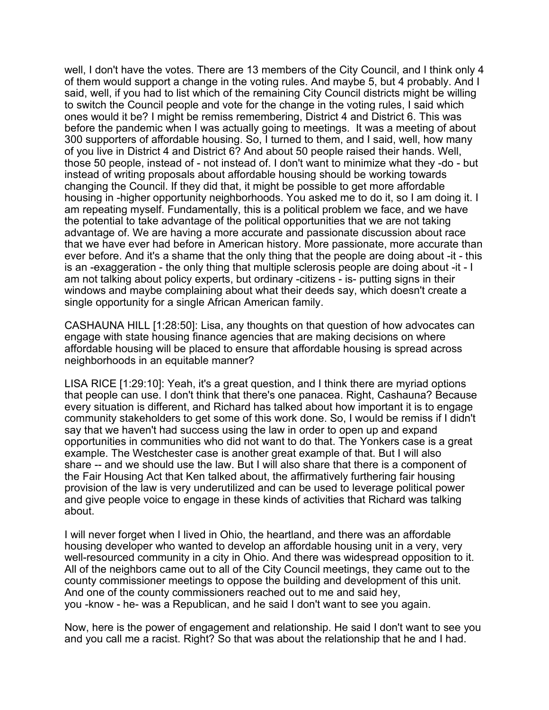well, I don't have the votes. There are 13 members of the City Council, and I think only 4 of them would support a change in the voting rules. And maybe 5, but 4 probably. And I said, well, if you had to list which of the remaining City Council districts might be willing to switch the Council people and vote for the change in the voting rules, I said which ones would it be? I might be remiss remembering, District 4 and District 6. This was before the pandemic when I was actually going to meetings. It was a meeting of about 300 supporters of affordable housing. So, I turned to them, and I said, well, how many of you live in District 4 and District 6? And about 50 people raised their hands. Well, those 50 people, instead of - not instead of. I don't want to minimize what they -do - but instead of writing proposals about affordable housing should be working towards changing the Council. If they did that, it might be possible to get more affordable housing in -higher opportunity neighborhoods. You asked me to do it, so I am doing it. I am repeating myself. Fundamentally, this is a political problem we face, and we have the potential to take advantage of the political opportunities that we are not taking advantage of. We are having a more accurate and passionate discussion about race that we have ever had before in American history. More passionate, more accurate than ever before. And it's a shame that the only thing that the people are doing about -it - this is an -exaggeration - the only thing that multiple sclerosis people are doing about -it - I am not talking about policy experts, but ordinary -citizens - is- putting signs in their windows and maybe complaining about what their deeds say, which doesn't create a single opportunity for a single African American family.

CASHAUNA HILL [1:28:50]: Lisa, any thoughts on that question of how advocates can engage with state housing finance agencies that are making decisions on where affordable housing will be placed to ensure that affordable housing is spread across neighborhoods in an equitable manner?

LISA RICE [1:29:10]: Yeah, it's a great question, and I think there are myriad options that people can use. I don't think that there's one panacea. Right, Cashauna? Because every situation is different, and Richard has talked about how important it is to engage community stakeholders to get some of this work done. So, I would be remiss if I didn't say that we haven't had success using the law in order to open up and expand opportunities in communities who did not want to do that. The Yonkers case is a great example. The Westchester case is another great example of that. But I will also share -- and we should use the law. But I will also share that there is a component of the Fair Housing Act that Ken talked about, the affirmatively furthering fair housing provision of the law is very underutilized and can be used to leverage political power and give people voice to engage in these kinds of activities that Richard was talking about.

I will never forget when I lived in Ohio, the heartland, and there was an affordable housing developer who wanted to develop an affordable housing unit in a very, very well-resourced community in a city in Ohio. And there was widespread opposition to it. All of the neighbors came out to all of the City Council meetings, they came out to the county commissioner meetings to oppose the building and development of this unit. And one of the county commissioners reached out to me and said hey, you -know - he- was a Republican, and he said I don't want to see you again.

Now, here is the power of engagement and relationship. He said I don't want to see you and you call me a racist. Right? So that was about the relationship that he and I had.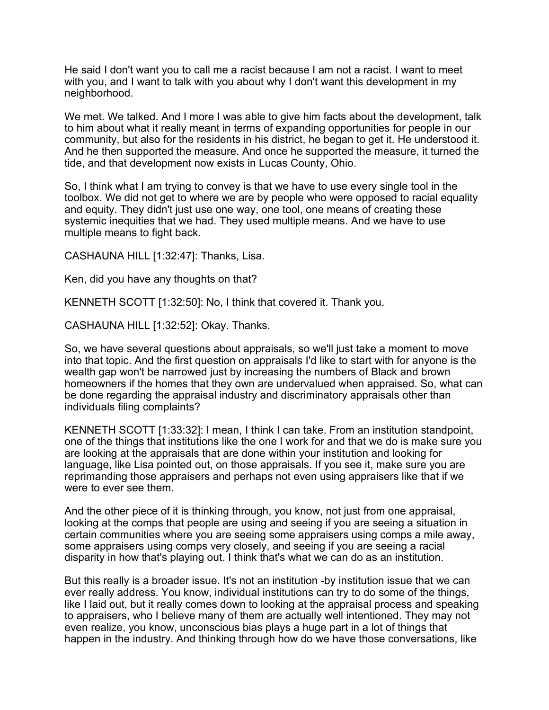He said I don't want you to call me a racist because I am not a racist. I want to meet with you, and I want to talk with you about why I don't want this development in my neighborhood.

We met. We talked. And I more I was able to give him facts about the development, talk to him about what it really meant in terms of expanding opportunities for people in our community, but also for the residents in his district, he began to get it. He understood it. And he then supported the measure. And once he supported the measure, it turned the tide, and that development now exists in Lucas County, Ohio.

So, I think what I am trying to convey is that we have to use every single tool in the toolbox. We did not get to where we are by people who were opposed to racial equality and equity. They didn't just use one way, one tool, one means of creating these systemic inequities that we had. They used multiple means. And we have to use multiple means to fight back.

CASHAUNA HILL [1:32:47]: Thanks, Lisa.

Ken, did you have any thoughts on that?

KENNETH SCOTT [1:32:50]: No, I think that covered it. Thank you.

CASHAUNA HILL [1:32:52]: Okay. Thanks.

So, we have several questions about appraisals, so we'll just take a moment to move into that topic. And the first question on appraisals I'd like to start with for anyone is the wealth gap won't be narrowed just by increasing the numbers of Black and brown homeowners if the homes that they own are undervalued when appraised. So, what can be done regarding the appraisal industry and discriminatory appraisals other than individuals filing complaints?

KENNETH SCOTT [1:33:32]: I mean, I think I can take. From an institution standpoint, one of the things that institutions like the one I work for and that we do is make sure you are looking at the appraisals that are done within your institution and looking for language, like Lisa pointed out, on those appraisals. If you see it, make sure you are reprimanding those appraisers and perhaps not even using appraisers like that if we were to ever see them.

And the other piece of it is thinking through, you know, not just from one appraisal, looking at the comps that people are using and seeing if you are seeing a situation in certain communities where you are seeing some appraisers using comps a mile away, some appraisers using comps very closely, and seeing if you are seeing a racial disparity in how that's playing out. I think that's what we can do as an institution.

But this really is a broader issue. It's not an institution -by institution issue that we can ever really address. You know, individual institutions can try to do some of the things, like I laid out, but it really comes down to looking at the appraisal process and speaking to appraisers, who I believe many of them are actually well intentioned. They may not even realize, you know, unconscious bias plays a huge part in a lot of things that happen in the industry. And thinking through how do we have those conversations, like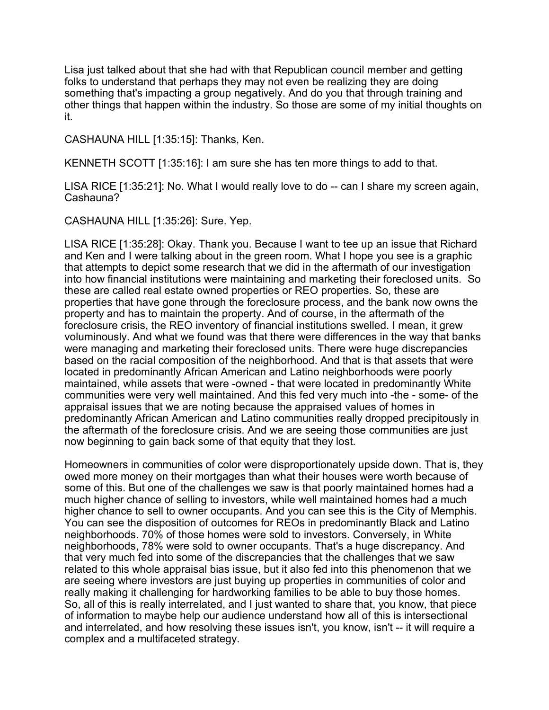Lisa just talked about that she had with that Republican council member and getting folks to understand that perhaps they may not even be realizing they are doing something that's impacting a group negatively. And do you that through training and other things that happen within the industry. So those are some of my initial thoughts on it.

CASHAUNA HILL [1:35:15]: Thanks, Ken.

KENNETH SCOTT [1:35:16]: I am sure she has ten more things to add to that.

LISA RICE [1:35:21]: No. What I would really love to do -- can I share my screen again, Cashauna?

CASHAUNA HILL [1:35:26]: Sure. Yep.

LISA RICE [1:35:28]: Okay. Thank you. Because I want to tee up an issue that Richard and Ken and I were talking about in the green room. What I hope you see is a graphic that attempts to depict some research that we did in the aftermath of our investigation into how financial institutions were maintaining and marketing their foreclosed units. So these are called real estate owned properties or REO properties. So, these are properties that have gone through the foreclosure process, and the bank now owns the property and has to maintain the property. And of course, in the aftermath of the foreclosure crisis, the REO inventory of financial institutions swelled. I mean, it grew voluminously. And what we found was that there were differences in the way that banks were managing and marketing their foreclosed units. There were huge discrepancies based on the racial composition of the neighborhood. And that is that assets that were located in predominantly African American and Latino neighborhoods were poorly maintained, while assets that were -owned - that were located in predominantly White communities were very well maintained. And this fed very much into -the - some- of the appraisal issues that we are noting because the appraised values of homes in predominantly African American and Latino communities really dropped precipitously in the aftermath of the foreclosure crisis. And we are seeing those communities are just now beginning to gain back some of that equity that they lost.

Homeowners in communities of color were disproportionately upside down. That is, they owed more money on their mortgages than what their houses were worth because of some of this. But one of the challenges we saw is that poorly maintained homes had a much higher chance of selling to investors, while well maintained homes had a much higher chance to sell to owner occupants. And you can see this is the City of Memphis. You can see the disposition of outcomes for REOs in predominantly Black and Latino neighborhoods. 70% of those homes were sold to investors. Conversely, in White neighborhoods, 78% were sold to owner occupants. That's a huge discrepancy. And that very much fed into some of the discrepancies that the challenges that we saw related to this whole appraisal bias issue, but it also fed into this phenomenon that we are seeing where investors are just buying up properties in communities of color and really making it challenging for hardworking families to be able to buy those homes. So, all of this is really interrelated, and I just wanted to share that, you know, that piece of information to maybe help our audience understand how all of this is intersectional and interrelated, and how resolving these issues isn't, you know, isn't -- it will require a complex and a multifaceted strategy.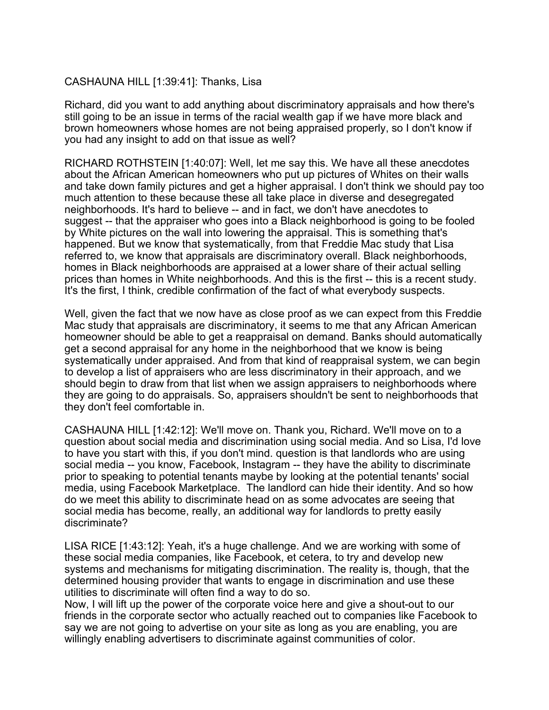## CASHAUNA HILL [1:39:41]: Thanks, Lisa

Richard, did you want to add anything about discriminatory appraisals and how there's still going to be an issue in terms of the racial wealth gap if we have more black and brown homeowners whose homes are not being appraised properly, so I don't know if you had any insight to add on that issue as well?

RICHARD ROTHSTEIN [1:40:07]: Well, let me say this. We have all these anecdotes about the African American homeowners who put up pictures of Whites on their walls and take down family pictures and get a higher appraisal. I don't think we should pay too much attention to these because these all take place in diverse and desegregated neighborhoods. It's hard to believe -- and in fact, we don't have anecdotes to suggest -- that the appraiser who goes into a Black neighborhood is going to be fooled by White pictures on the wall into lowering the appraisal. This is something that's happened. But we know that systematically, from that Freddie Mac study that Lisa referred to, we know that appraisals are discriminatory overall. Black neighborhoods, homes in Black neighborhoods are appraised at a lower share of their actual selling prices than homes in White neighborhoods. And this is the first -- this is a recent study. It's the first, I think, credible confirmation of the fact of what everybody suspects.

Well, given the fact that we now have as close proof as we can expect from this Freddie Mac study that appraisals are discriminatory, it seems to me that any African American homeowner should be able to get a reappraisal on demand. Banks should automatically get a second appraisal for any home in the neighborhood that we know is being systematically under appraised. And from that kind of reappraisal system, we can begin to develop a list of appraisers who are less discriminatory in their approach, and we should begin to draw from that list when we assign appraisers to neighborhoods where they are going to do appraisals. So, appraisers shouldn't be sent to neighborhoods that they don't feel comfortable in.

CASHAUNA HILL [1:42:12]: We'll move on. Thank you, Richard. We'll move on to a question about social media and discrimination using social media. And so Lisa, I'd love to have you start with this, if you don't mind. question is that landlords who are using social media -- you know, Facebook, Instagram -- they have the ability to discriminate prior to speaking to potential tenants maybe by looking at the potential tenants' social media, using Facebook Marketplace. The landlord can hide their identity. And so how do we meet this ability to discriminate head on as some advocates are seeing that social media has become, really, an additional way for landlords to pretty easily discriminate?

LISA RICE [1:43:12]: Yeah, it's a huge challenge. And we are working with some of these social media companies, like Facebook, et cetera, to try and develop new systems and mechanisms for mitigating discrimination. The reality is, though, that the determined housing provider that wants to engage in discrimination and use these utilities to discriminate will often find a way to do so.

Now, I will lift up the power of the corporate voice here and give a shout-out to our friends in the corporate sector who actually reached out to companies like Facebook to say we are not going to advertise on your site as long as you are enabling, you are willingly enabling advertisers to discriminate against communities of color.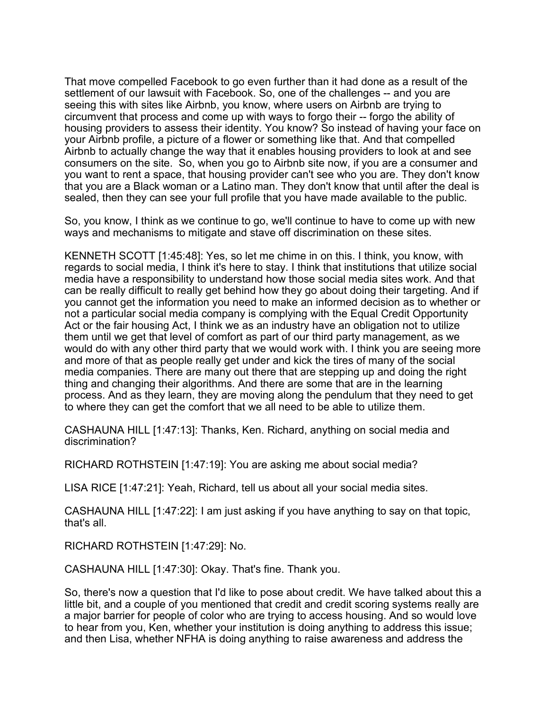That move compelled Facebook to go even further than it had done as a result of the settlement of our lawsuit with Facebook. So, one of the challenges -- and you are seeing this with sites like Airbnb, you know, where users on Airbnb are trying to circumvent that process and come up with ways to forgo their -- forgo the ability of housing providers to assess their identity. You know? So instead of having your face on your Airbnb profile, a picture of a flower or something like that. And that compelled Airbnb to actually change the way that it enables housing providers to look at and see consumers on the site. So, when you go to Airbnb site now, if you are a consumer and you want to rent a space, that housing provider can't see who you are. They don't know that you are a Black woman or a Latino man. They don't know that until after the deal is sealed, then they can see your full profile that you have made available to the public.

So, you know, I think as we continue to go, we'll continue to have to come up with new ways and mechanisms to mitigate and stave off discrimination on these sites.

KENNETH SCOTT [1:45:48]: Yes, so let me chime in on this. I think, you know, with regards to social media, I think it's here to stay. I think that institutions that utilize social media have a responsibility to understand how those social media sites work. And that can be really difficult to really get behind how they go about doing their targeting. And if you cannot get the information you need to make an informed decision as to whether or not a particular social media company is complying with the Equal Credit Opportunity Act or the fair housing Act, I think we as an industry have an obligation not to utilize them until we get that level of comfort as part of our third party management, as we would do with any other third party that we would work with. I think you are seeing more and more of that as people really get under and kick the tires of many of the social media companies. There are many out there that are stepping up and doing the right thing and changing their algorithms. And there are some that are in the learning process. And as they learn, they are moving along the pendulum that they need to get to where they can get the comfort that we all need to be able to utilize them.

CASHAUNA HILL [1:47:13]: Thanks, Ken. Richard, anything on social media and discrimination?

RICHARD ROTHSTEIN [1:47:19]: You are asking me about social media?

LISA RICE [1:47:21]: Yeah, Richard, tell us about all your social media sites.

CASHAUNA HILL [1:47:22]: I am just asking if you have anything to say on that topic, that's all.

RICHARD ROTHSTEIN [1:47:29]: No.

CASHAUNA HILL [1:47:30]: Okay. That's fine. Thank you.

So, there's now a question that I'd like to pose about credit. We have talked about this a little bit, and a couple of you mentioned that credit and credit scoring systems really are a major barrier for people of color who are trying to access housing. And so would love to hear from you, Ken, whether your institution is doing anything to address this issue; and then Lisa, whether NFHA is doing anything to raise awareness and address the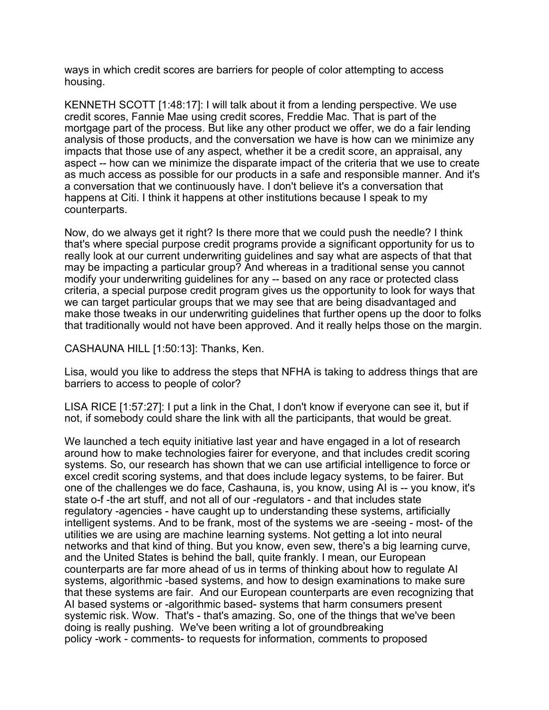ways in which credit scores are barriers for people of color attempting to access housing.

KENNETH SCOTT [1:48:17]: I will talk about it from a lending perspective. We use credit scores, Fannie Mae using credit scores, Freddie Mac. That is part of the mortgage part of the process. But like any other product we offer, we do a fair lending analysis of those products, and the conversation we have is how can we minimize any impacts that those use of any aspect, whether it be a credit score, an appraisal, any aspect -- how can we minimize the disparate impact of the criteria that we use to create as much access as possible for our products in a safe and responsible manner. And it's a conversation that we continuously have. I don't believe it's a conversation that happens at Citi. I think it happens at other institutions because I speak to my counterparts.

Now, do we always get it right? Is there more that we could push the needle? I think that's where special purpose credit programs provide a significant opportunity for us to really look at our current underwriting guidelines and say what are aspects of that that may be impacting a particular group? And whereas in a traditional sense you cannot modify your underwriting guidelines for any -- based on any race or protected class criteria, a special purpose credit program gives us the opportunity to look for ways that we can target particular groups that we may see that are being disadvantaged and make those tweaks in our underwriting guidelines that further opens up the door to folks that traditionally would not have been approved. And it really helps those on the margin.

CASHAUNA HILL [1:50:13]: Thanks, Ken.

Lisa, would you like to address the steps that NFHA is taking to address things that are barriers to access to people of color?

LISA RICE [1:57:27]: I put a link in the Chat, I don't know if everyone can see it, but if not, if somebody could share the link with all the participants, that would be great.

We launched a tech equity initiative last year and have engaged in a lot of research around how to make technologies fairer for everyone, and that includes credit scoring systems. So, our research has shown that we can use artificial intelligence to force or excel credit scoring systems, and that does include legacy systems, to be fairer. But one of the challenges we do face, Cashauna, is, you know, using AI is -- you know, it's state o-f -the art stuff, and not all of our -regulators - and that includes state regulatory -agencies - have caught up to understanding these systems, artificially intelligent systems. And to be frank, most of the systems we are -seeing - most- of the utilities we are using are machine learning systems. Not getting a lot into neural networks and that kind of thing. But you know, even sew, there's a big learning curve, and the United States is behind the ball, quite frankly. I mean, our European counterparts are far more ahead of us in terms of thinking about how to regulate AI systems, algorithmic -based systems, and how to design examinations to make sure that these systems are fair. And our European counterparts are even recognizing that AI based systems or -algorithmic based- systems that harm consumers present systemic risk. Wow. That's - that's amazing. So, one of the things that we've been doing is really pushing. We've been writing a lot of groundbreaking policy -work - comments- to requests for information, comments to proposed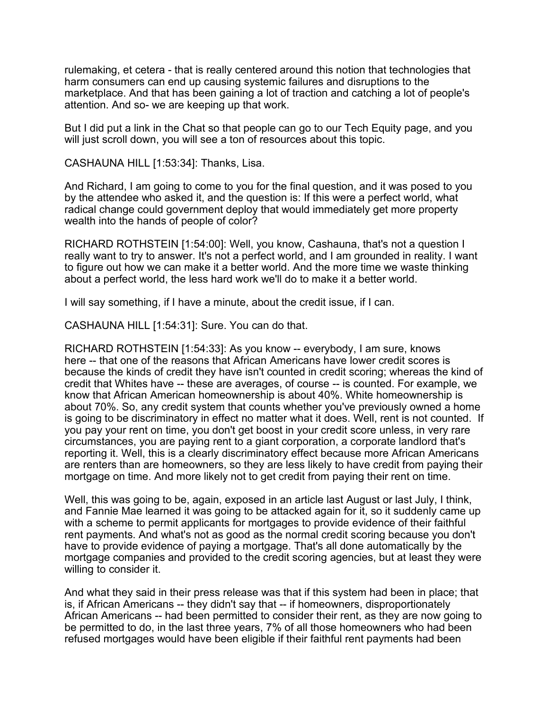rulemaking, et cetera - that is really centered around this notion that technologies that harm consumers can end up causing systemic failures and disruptions to the marketplace. And that has been gaining a lot of traction and catching a lot of people's attention. And so- we are keeping up that work.

But I did put a link in the Chat so that people can go to our Tech Equity page, and you will just scroll down, you will see a ton of resources about this topic.

CASHAUNA HILL [1:53:34]: Thanks, Lisa.

And Richard, I am going to come to you for the final question, and it was posed to you by the attendee who asked it, and the question is: If this were a perfect world, what radical change could government deploy that would immediately get more property wealth into the hands of people of color?

RICHARD ROTHSTEIN [1:54:00]: Well, you know, Cashauna, that's not a question I really want to try to answer. It's not a perfect world, and I am grounded in reality. I want to figure out how we can make it a better world. And the more time we waste thinking about a perfect world, the less hard work we'll do to make it a better world.

I will say something, if I have a minute, about the credit issue, if I can.

CASHAUNA HILL [1:54:31]: Sure. You can do that.

RICHARD ROTHSTEIN [1:54:33]: As you know -- everybody, I am sure, knows here -- that one of the reasons that African Americans have lower credit scores is because the kinds of credit they have isn't counted in credit scoring; whereas the kind of credit that Whites have -- these are averages, of course -- is counted. For example, we know that African American homeownership is about 40%. White homeownership is about 70%. So, any credit system that counts whether you've previously owned a home is going to be discriminatory in effect no matter what it does. Well, rent is not counted. If you pay your rent on time, you don't get boost in your credit score unless, in very rare circumstances, you are paying rent to a giant corporation, a corporate landlord that's reporting it. Well, this is a clearly discriminatory effect because more African Americans are renters than are homeowners, so they are less likely to have credit from paying their mortgage on time. And more likely not to get credit from paying their rent on time.

Well, this was going to be, again, exposed in an article last August or last July, I think, and Fannie Mae learned it was going to be attacked again for it, so it suddenly came up with a scheme to permit applicants for mortgages to provide evidence of their faithful rent payments. And what's not as good as the normal credit scoring because you don't have to provide evidence of paying a mortgage. That's all done automatically by the mortgage companies and provided to the credit scoring agencies, but at least they were willing to consider it.

And what they said in their press release was that if this system had been in place; that is, if African Americans -- they didn't say that -- if homeowners, disproportionately African Americans -- had been permitted to consider their rent, as they are now going to be permitted to do, in the last three years, 7% of all those homeowners who had been refused mortgages would have been eligible if their faithful rent payments had been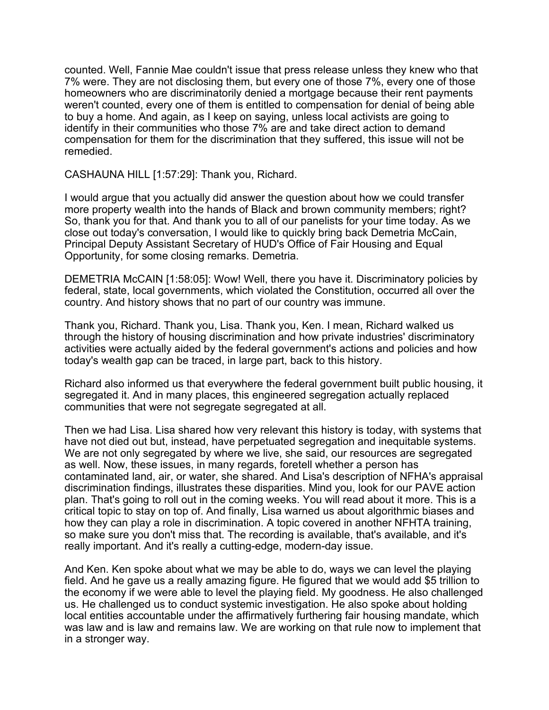counted. Well, Fannie Mae couldn't issue that press release unless they knew who that 7% were. They are not disclosing them, but every one of those 7%, every one of those homeowners who are discriminatorily denied a mortgage because their rent payments weren't counted, every one of them is entitled to compensation for denial of being able to buy a home. And again, as I keep on saying, unless local activists are going to identify in their communities who those 7% are and take direct action to demand compensation for them for the discrimination that they suffered, this issue will not be remedied.

CASHAUNA HILL [1:57:29]: Thank you, Richard.

I would argue that you actually did answer the question about how we could transfer more property wealth into the hands of Black and brown community members; right? So, thank you for that. And thank you to all of our panelists for your time today. As we close out today's conversation, I would like to quickly bring back Demetria McCain, Principal Deputy Assistant Secretary of HUD's Office of Fair Housing and Equal Opportunity, for some closing remarks. Demetria.

DEMETRIA McCAIN [1:58:05]: Wow! Well, there you have it. Discriminatory policies by federal, state, local governments, which violated the Constitution, occurred all over the country. And history shows that no part of our country was immune.

Thank you, Richard. Thank you, Lisa. Thank you, Ken. I mean, Richard walked us through the history of housing discrimination and how private industries' discriminatory activities were actually aided by the federal government's actions and policies and how today's wealth gap can be traced, in large part, back to this history.

Richard also informed us that everywhere the federal government built public housing, it segregated it. And in many places, this engineered segregation actually replaced communities that were not segregate segregated at all.

Then we had Lisa. Lisa shared how very relevant this history is today, with systems that have not died out but, instead, have perpetuated segregation and inequitable systems. We are not only segregated by where we live, she said, our resources are segregated as well. Now, these issues, in many regards, foretell whether a person has contaminated land, air, or water, she shared. And Lisa's description of NFHA's appraisal discrimination findings, illustrates these disparities. Mind you, look for our PAVE action plan. That's going to roll out in the coming weeks. You will read about it more. This is a critical topic to stay on top of. And finally, Lisa warned us about algorithmic biases and how they can play a role in discrimination. A topic covered in another NFHTA training, so make sure you don't miss that. The recording is available, that's available, and it's really important. And it's really a cutting-edge, modern-day issue.

And Ken. Ken spoke about what we may be able to do, ways we can level the playing field. And he gave us a really amazing figure. He figured that we would add \$5 trillion to the economy if we were able to level the playing field. My goodness. He also challenged us. He challenged us to conduct systemic investigation. He also spoke about holding local entities accountable under the affirmatively furthering fair housing mandate, which was law and is law and remains law. We are working on that rule now to implement that in a stronger way.